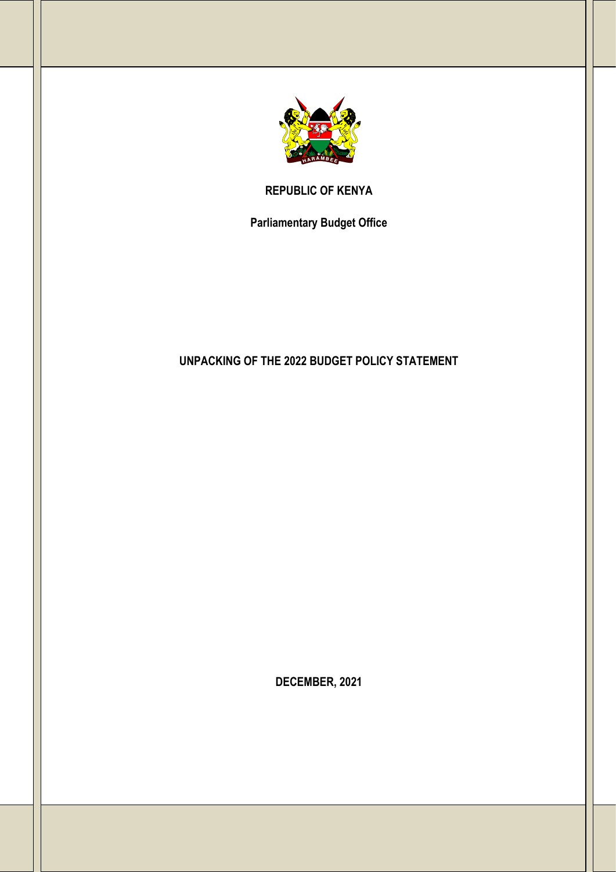

**REPUBLIC OF KENYA**

**Parliamentary Budget Office**

# **UNPACKING OF THE 2022 BUDGET POLICY STATEMENT**

**DECEMBER, 2021**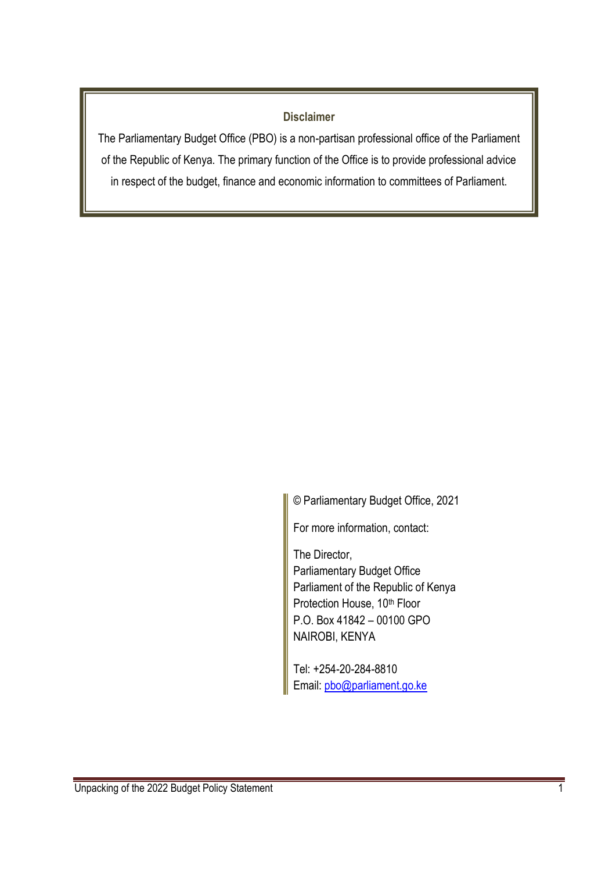#### **Disclaimer**

The Parliamentary Budget Office (PBO) is a non-partisan professional office of the Parliament of the Republic of Kenya. The primary function of the Office is to provide professional advice in respect of the budget, finance and economic information to committees of Parliament.

© Parliamentary Budget Office, 2021

For more information, contact:

The Director, Parliamentary Budget Office Parliament of the Republic of Kenya Protection House, 10<sup>th</sup> Floor P.O. Box 41842 – 00100 GPO NAIROBI, KENYA

Tel: +254-20-284-8810 Email: [pbo@parliament.go.ke](mailto:pbo@parliament.go.ke)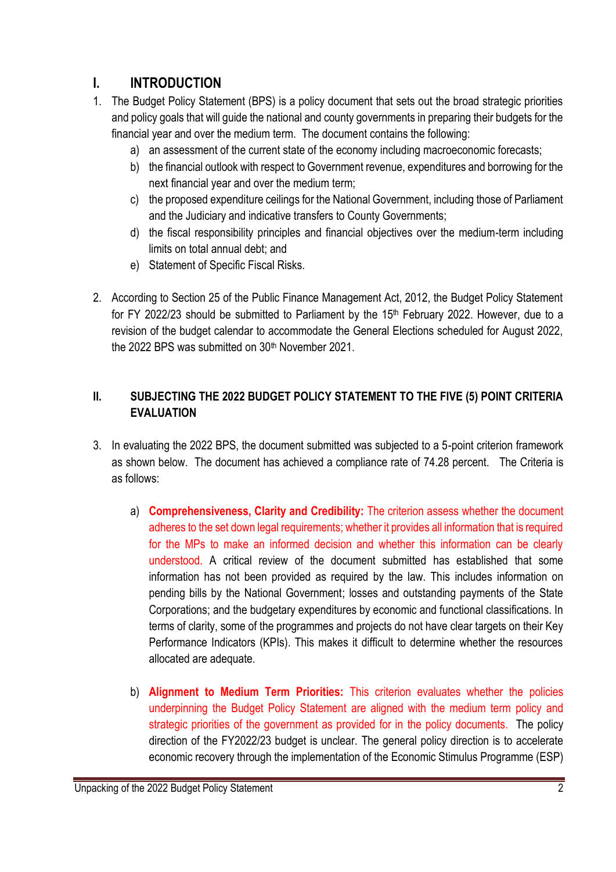## **I. INTRODUCTION**

- 1. The Budget Policy Statement (BPS) is a policy document that sets out the broad strategic priorities and policy goals that will guide the national and county governments in preparing their budgets for the financial year and over the medium term. The document contains the following:
	- a) an assessment of the current state of the economy including macroeconomic forecasts;
	- b) the financial outlook with respect to Government revenue, expenditures and borrowing for the next financial year and over the medium term;
	- c) the proposed expenditure ceilings for the National Government, including those of Parliament and the Judiciary and indicative transfers to County Governments;
	- d) the fiscal responsibility principles and financial objectives over the medium-term including limits on total annual debt; and
	- e) Statement of Specific Fiscal Risks.
- 2. According to Section 25 of the Public Finance Management Act, 2012, the Budget Policy Statement for FY 2022/23 should be submitted to Parliament by the 15<sup>th</sup> February 2022. However, due to a revision of the budget calendar to accommodate the General Elections scheduled for August 2022, the 2022 BPS was submitted on 30th November 2021.

#### **II. SUBJECTING THE 2022 BUDGET POLICY STATEMENT TO THE FIVE (5) POINT CRITERIA EVALUATION**

- 3. In evaluating the 2022 BPS, the document submitted was subjected to a 5-point criterion framework as shown below. The document has achieved a compliance rate of 74.28 percent. The Criteria is as follows:
	- a) **Comprehensiveness, Clarity and Credibility:** The criterion assess whether the document adheres to the set down legal requirements; whether it provides all information that is required for the MPs to make an informed decision and whether this information can be clearly understood. A critical review of the document submitted has established that some information has not been provided as required by the law. This includes information on pending bills by the National Government; losses and outstanding payments of the State Corporations; and the budgetary expenditures by economic and functional classifications. In terms of clarity, some of the programmes and projects do not have clear targets on their Key Performance Indicators (KPIs). This makes it difficult to determine whether the resources allocated are adequate.
	- b) **Alignment to Medium Term Priorities:** This criterion evaluates whether the policies underpinning the Budget Policy Statement are aligned with the medium term policy and strategic priorities of the government as provided for in the policy documents. The policy direction of the FY2022/23 budget is unclear. The general policy direction is to accelerate economic recovery through the implementation of the Economic Stimulus Programme (ESP)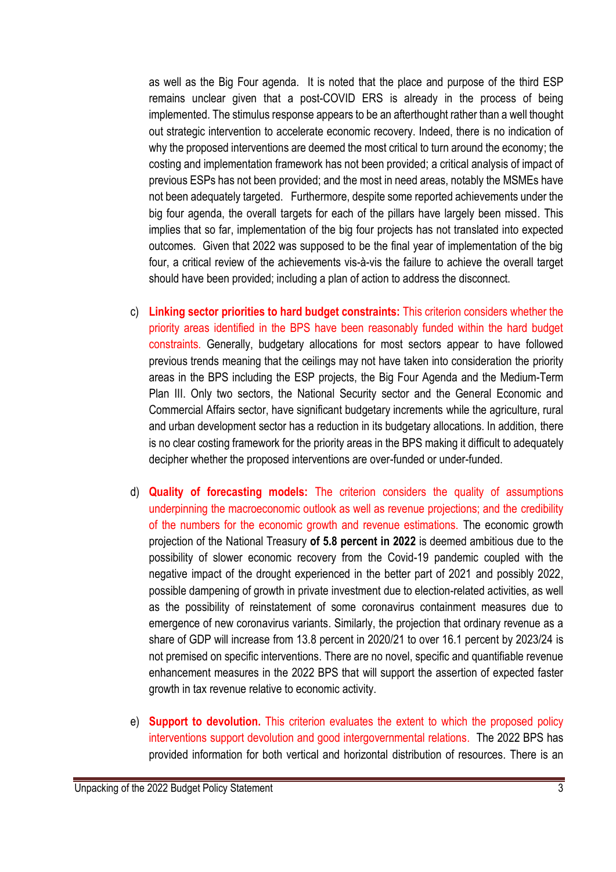as well as the Big Four agenda. It is noted that the place and purpose of the third ESP remains unclear given that a post-COVID ERS is already in the process of being implemented. The stimulus response appears to be an afterthought rather than a well thought out strategic intervention to accelerate economic recovery. Indeed, there is no indication of why the proposed interventions are deemed the most critical to turn around the economy; the costing and implementation framework has not been provided; a critical analysis of impact of previous ESPs has not been provided; and the most in need areas, notably the MSMEs have not been adequately targeted. Furthermore, despite some reported achievements under the big four agenda, the overall targets for each of the pillars have largely been missed. This implies that so far, implementation of the big four projects has not translated into expected outcomes. Given that 2022 was supposed to be the final year of implementation of the big four, a critical review of the achievements vis-à-vis the failure to achieve the overall target should have been provided; including a plan of action to address the disconnect.

- c) **Linking sector priorities to hard budget constraints:** This criterion considers whether the priority areas identified in the BPS have been reasonably funded within the hard budget constraints. Generally, budgetary allocations for most sectors appear to have followed previous trends meaning that the ceilings may not have taken into consideration the priority areas in the BPS including the ESP projects, the Big Four Agenda and the Medium-Term Plan III. Only two sectors, the National Security sector and the General Economic and Commercial Affairs sector, have significant budgetary increments while the agriculture, rural and urban development sector has a reduction in its budgetary allocations. In addition, there is no clear costing framework for the priority areas in the BPS making it difficult to adequately decipher whether the proposed interventions are over-funded or under-funded.
- d) **Quality of forecasting models:** The criterion considers the quality of assumptions underpinning the macroeconomic outlook as well as revenue projections; and the credibility of the numbers for the economic growth and revenue estimations. The economic growth projection of the National Treasury **of 5.8 percent in 2022** is deemed ambitious due to the possibility of slower economic recovery from the Covid-19 pandemic coupled with the negative impact of the drought experienced in the better part of 2021 and possibly 2022, possible dampening of growth in private investment due to election-related activities, as well as the possibility of reinstatement of some coronavirus containment measures due to emergence of new coronavirus variants. Similarly, the projection that ordinary revenue as a share of GDP will increase from 13.8 percent in 2020/21 to over 16.1 percent by 2023/24 is not premised on specific interventions. There are no novel, specific and quantifiable revenue enhancement measures in the 2022 BPS that will support the assertion of expected faster growth in tax revenue relative to economic activity.
- e) **Support to devolution.** This criterion evaluates the extent to which the proposed policy interventions support devolution and good intergovernmental relations. The 2022 BPS has provided information for both vertical and horizontal distribution of resources. There is an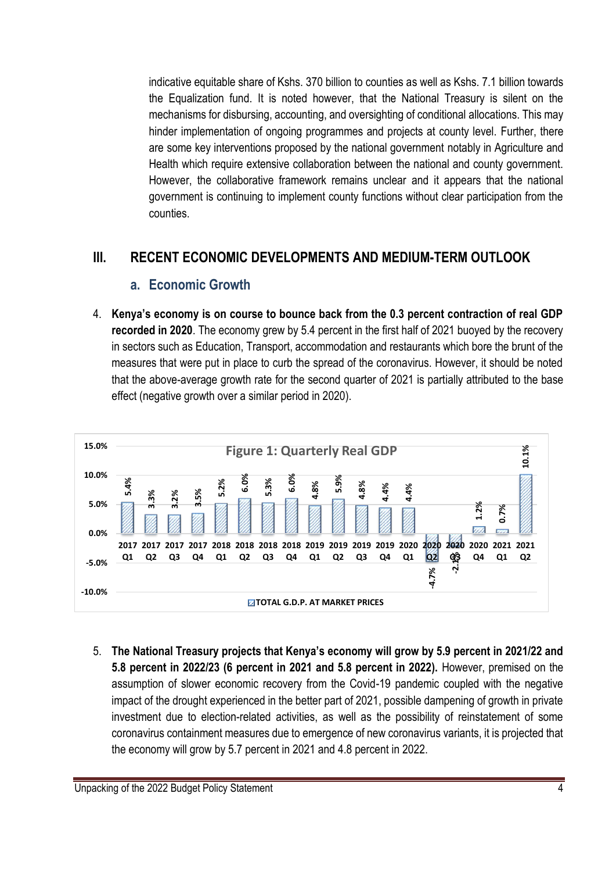indicative equitable share of Kshs. 370 billion to counties as well as Kshs. 7.1 billion towards the Equalization fund. It is noted however, that the National Treasury is silent on the mechanisms for disbursing, accounting, and oversighting of conditional allocations. This may hinder implementation of ongoing programmes and projects at county level. Further, there are some key interventions proposed by the national government notably in Agriculture and Health which require extensive collaboration between the national and county government. However, the collaborative framework remains unclear and it appears that the national government is continuing to implement county functions without clear participation from the counties.

### **III. RECENT ECONOMIC DEVELOPMENTS AND MEDIUM-TERM OUTLOOK**

#### **a. Economic Growth**

4. **Kenya's economy is on course to bounce back from the 0.3 percent contraction of real GDP recorded in 2020**. The economy grew by 5.4 percent in the first half of 2021 buoyed by the recovery in sectors such as Education, Transport, accommodation and restaurants which bore the brunt of the measures that were put in place to curb the spread of the coronavirus. However, it should be noted that the above-average growth rate for the second quarter of 2021 is partially attributed to the base effect (negative growth over a similar period in 2020).



5. **The National Treasury projects that Kenya's economy will grow by 5.9 percent in 2021/22 and 5.8 percent in 2022/23 (6 percent in 2021 and 5.8 percent in 2022).** However, premised on the assumption of slower economic recovery from the Covid-19 pandemic coupled with the negative impact of the drought experienced in the better part of 2021, possible dampening of growth in private investment due to election-related activities, as well as the possibility of reinstatement of some coronavirus containment measures due to emergence of new coronavirus variants, it is projected that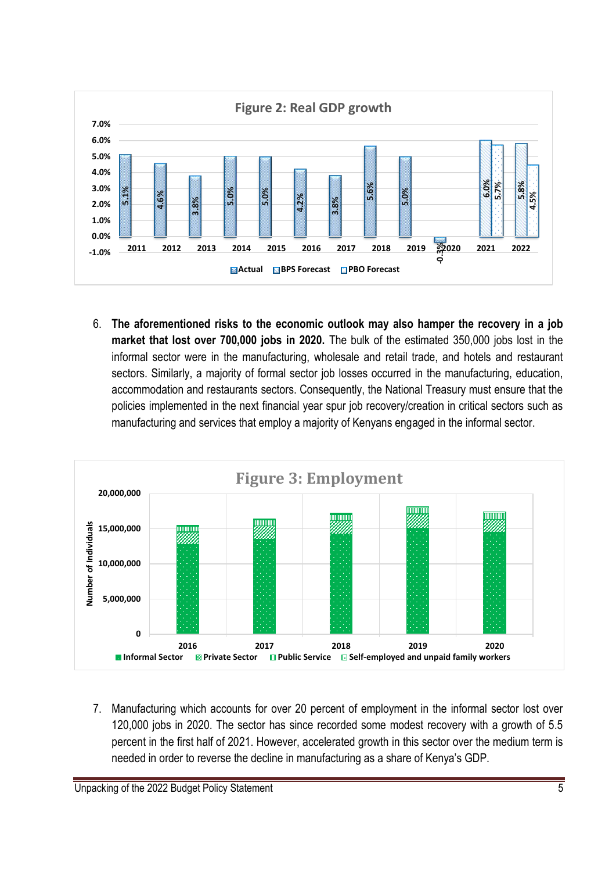

6. **The aforementioned risks to the economic outlook may also hamper the recovery in a job market that lost over 700,000 jobs in 2020.** The bulk of the estimated 350,000 jobs lost in the informal sector were in the manufacturing, wholesale and retail trade, and hotels and restaurant sectors. Similarly, a majority of formal sector job losses occurred in the manufacturing, education, accommodation and restaurants sectors. Consequently, the National Treasury must ensure that the policies implemented in the next financial year spur job recovery/creation in critical sectors such as manufacturing and services that employ a majority of Kenyans engaged in the informal sector.



7. Manufacturing which accounts for over 20 percent of employment in the informal sector lost over 120,000 jobs in 2020. The sector has since recorded some modest recovery with a growth of 5.5 percent in the first half of 2021. However, accelerated growth in this sector over the medium term is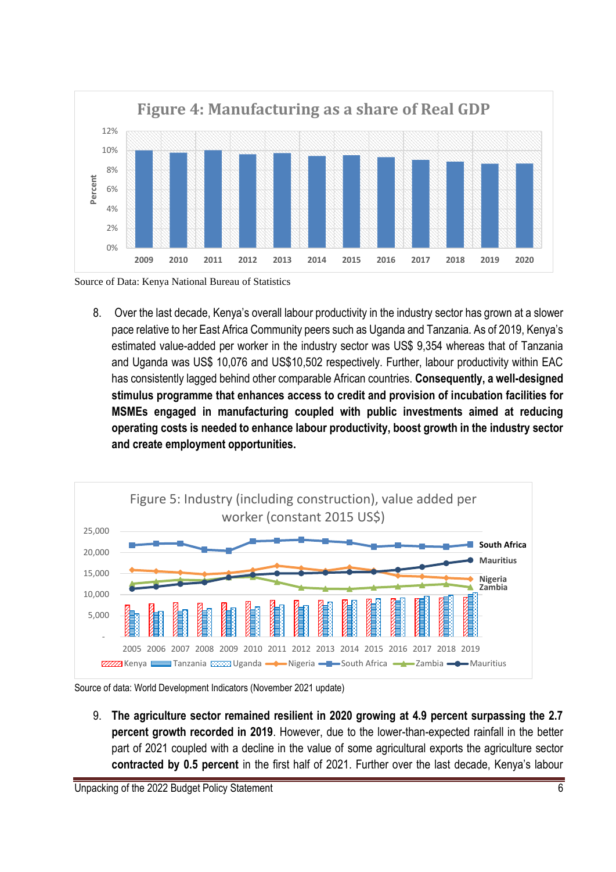

Source of Data: Kenya National Bureau of Statistics

8. Over the last decade, Kenya's overall labour productivity in the industry sector has grown at a slower pace relative to her East Africa Community peers such as Uganda and Tanzania. As of 2019, Kenya's estimated value-added per worker in the industry sector was US\$ 9,354 whereas that of Tanzania and Uganda was US\$ 10,076 and US\$10,502 respectively. Further, labour productivity within EAC has consistently lagged behind other comparable African countries. **Consequently, a well-designed stimulus programme that enhances access to credit and provision of incubation facilities for MSMEs engaged in manufacturing coupled with public investments aimed at reducing operating costs is needed to enhance labour productivity, boost growth in the industry sector and create employment opportunities.**



Source of data: World Development Indicators (November 2021 update)

9. **The agriculture sector remained resilient in 2020 growing at 4.9 percent surpassing the 2.7 percent growth recorded in 2019**. However, due to the lower-than-expected rainfall in the better part of 2021 coupled with a decline in the value of some agricultural exports the agriculture sector **contracted by 0.5 percent** in the first half of 2021. Further over the last decade, Kenya's labour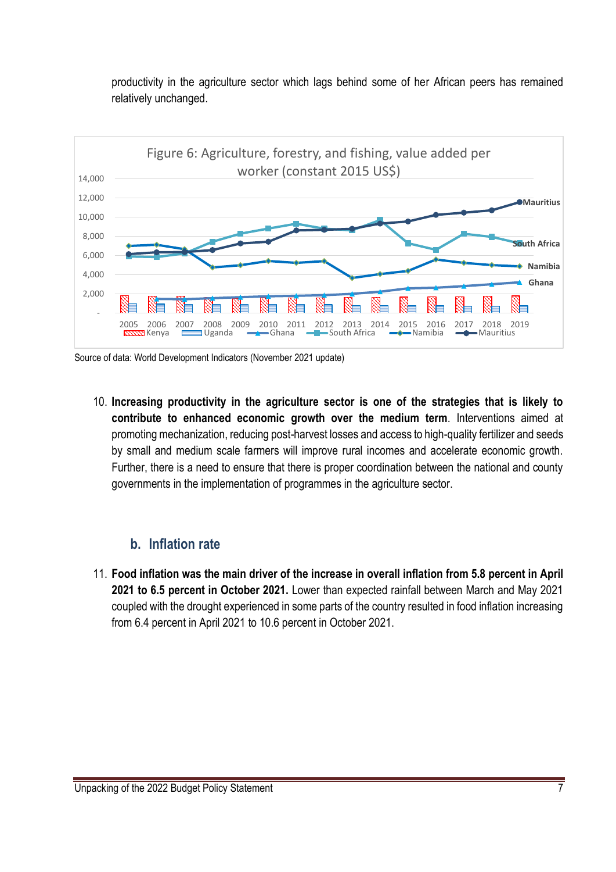

productivity in the agriculture sector which lags behind some of her African peers has remained relatively unchanged.

Source of data: World Development Indicators (November 2021 update)

10. **Increasing productivity in the agriculture sector is one of the strategies that is likely to contribute to enhanced economic growth over the medium term**. Interventions aimed at promoting mechanization, reducing post-harvest losses and access to high-quality fertilizer and seeds by small and medium scale farmers will improve rural incomes and accelerate economic growth. Further, there is a need to ensure that there is proper coordination between the national and county governments in the implementation of programmes in the agriculture sector.

#### **b. Inflation rate**

11. **Food inflation was the main driver of the increase in overall inflation from 5.8 percent in April 2021 to 6.5 percent in October 2021.** Lower than expected rainfall between March and May 2021 coupled with the drought experienced in some parts of the country resulted in food inflation increasing from 6.4 percent in April 2021 to 10.6 percent in October 2021.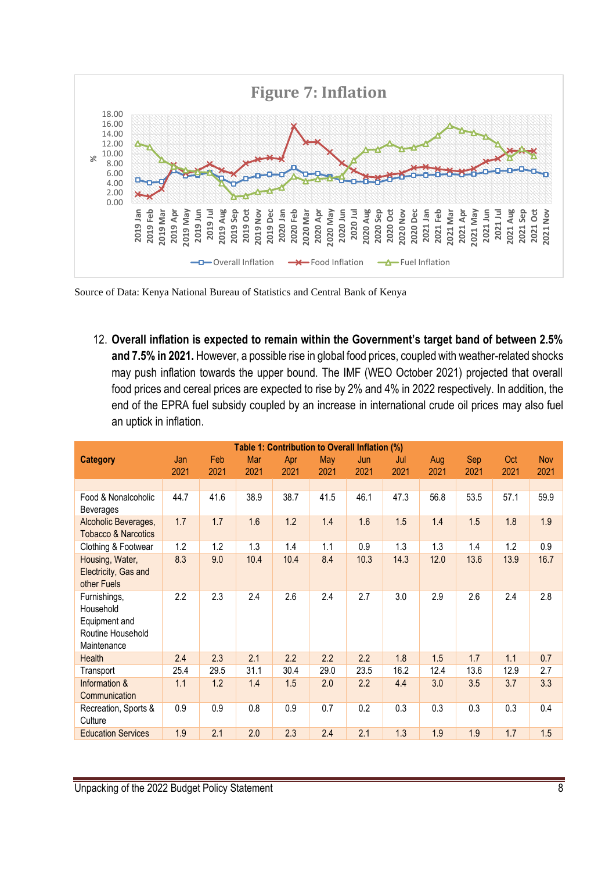

Source of Data: Kenya National Bureau of Statistics and Central Bank of Kenya

12. **Overall inflation is expected to remain within the Government's target band of between 2.5% and 7.5% in 2021.** However, a possible rise in global food prices, coupled with weather-related shocks may push inflation towards the upper bound. The IMF (WEO October 2021) projected that overall food prices and cereal prices are expected to rise by 2% and 4% in 2022 respectively. In addition, the end of the EPRA fuel subsidy coupled by an increase in international crude oil prices may also fuel an uptick in inflation.

|                                                                                | Table 1: Contribution to Overall Inflation (%) |              |             |             |             |             |             |             |             |             |                    |  |  |
|--------------------------------------------------------------------------------|------------------------------------------------|--------------|-------------|-------------|-------------|-------------|-------------|-------------|-------------|-------------|--------------------|--|--|
| <b>Category</b>                                                                | Jan<br>2021                                    | Feb.<br>2021 | Mar<br>2021 | Apr<br>2021 | May<br>2021 | Jun<br>2021 | Jul<br>2021 | Aug<br>2021 | Sep<br>2021 | Oct<br>2021 | <b>Nov</b><br>2021 |  |  |
|                                                                                |                                                |              |             |             |             |             |             |             |             |             |                    |  |  |
| Food & Nonalcoholic<br><b>Beverages</b>                                        | 44.7                                           | 41.6         | 38.9        | 38.7        | 41.5        | 46.1        | 47.3        | 56.8        | 53.5        | 57.1        | 59.9               |  |  |
| Alcoholic Beverages,<br><b>Tobacco &amp; Narcotics</b>                         | 1.7                                            | 1.7          | 1.6         | 1.2         | 1.4         | 1.6         | 1.5         | 1.4         | 1.5         | 1.8         | 1.9                |  |  |
| Clothing & Footwear                                                            | 1.2                                            | 1.2          | 1.3         | 1.4         | 1.1         | 0.9         | 1.3         | 1.3         | 1.4         | 1.2         | 0.9                |  |  |
| Housing, Water,<br>Electricity, Gas and<br>other Fuels                         | 8.3                                            | 9.0          | 10.4        | 10.4        | 8.4         | 10.3        | 14.3        | 12.0        | 13.6        | 13.9        | 16.7               |  |  |
| Furnishings,<br>Household<br>Equipment and<br>Routine Household<br>Maintenance | 2.2                                            | 2.3          | 2.4         | 2.6         | 2.4         | 2.7         | 3.0         | 2.9         | 2.6         | 2.4         | 2.8                |  |  |
| Health                                                                         | 2.4                                            | 2.3          | 2.1         | 2.2         | 2.2         | 2.2         | 1.8         | 1.5         | 1.7         | 1.1         | 0.7                |  |  |
| Transport                                                                      | 25.4                                           | 29.5         | 31.1        | 30.4        | 29.0        | 23.5        | 16.2        | 12.4        | 13.6        | 12.9        | 2.7                |  |  |
| Information &<br>Communication                                                 | 1.1                                            | 1.2          | 1.4         | 1.5         | 2.0         | 2.2         | 4.4         | 3.0         | 3.5         | 3.7         | 3.3                |  |  |
| Recreation, Sports &<br>Culture                                                | 0.9                                            | 0.9          | 0.8         | 0.9         | 0.7         | 0.2         | 0.3         | 0.3         | 0.3         | 0.3         | 0.4                |  |  |
| <b>Education Services</b>                                                      | 1.9                                            | 2.1          | 2.0         | 2.3         | 2.4         | 2.1         | 1.3         | 1.9         | 1.9         | 1.7         | 1.5                |  |  |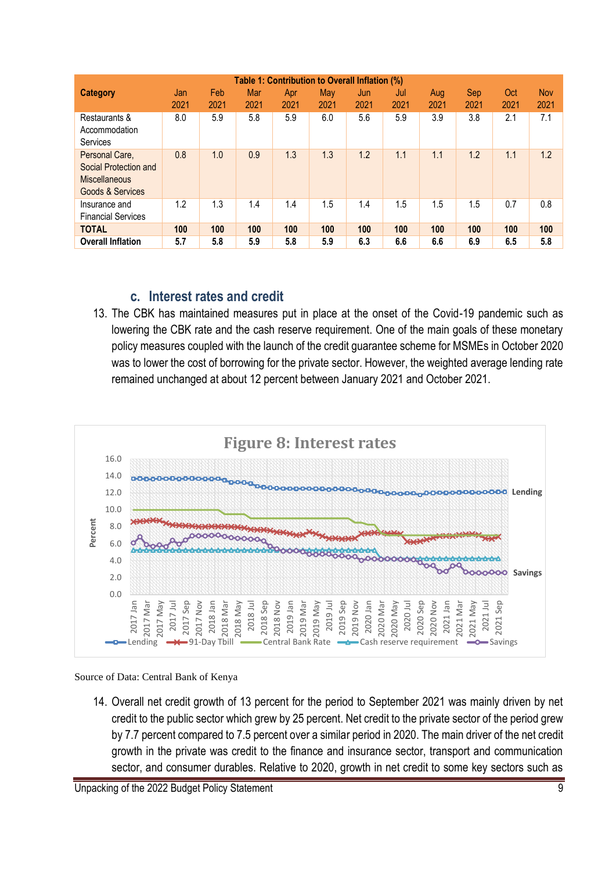| Table 1: Contribution to Overall Inflation (%)                                             |      |      |      |            |      |      |      |      |      |      |            |
|--------------------------------------------------------------------------------------------|------|------|------|------------|------|------|------|------|------|------|------------|
| Category                                                                                   | Jan  | Feb  | Mar  | <b>Apr</b> | May  | Jun  | Jul  | Aug  | Sep  | Oct  | <b>Nov</b> |
|                                                                                            | 2021 | 2021 | 2021 | 2021       | 2021 | 2021 | 2021 | 2021 | 2021 | 2021 | 2021       |
| Restaurants &<br>Accommodation                                                             | 8.0  | 5.9  | 5.8  | 5.9        | 6.0  | 5.6  | 5.9  | 3.9  | 3.8  | 2.1  | 7.1        |
| Services                                                                                   |      |      |      |            |      |      |      |      |      |      |            |
| Personal Care,<br><b>Social Protection and</b><br><b>Miscellaneous</b><br>Goods & Services | 0.8  | 1.0  | 0.9  | 1.3        | 1.3  | 1.2  | 1.1  | 1.1  | 1.2  | 1.1  | 1.2        |
| Insurance and<br><b>Financial Services</b>                                                 | 1.2  | 1.3  | 1.4  | 1.4        | 1.5  | 1.4  | 1.5  | 1.5  | 1.5  | 0.7  | 0.8        |
| <b>TOTAL</b>                                                                               | 100  | 100  | 100  | 100        | 100  | 100  | 100  | 100  | 100  | 100  | 100        |
| <b>Overall Inflation</b>                                                                   | 5.7  | 5.8  | 5.9  | 5.8        | 5.9  | 6.3  | 6.6  | 6.6  | 6.9  | 6.5  | 5.8        |

### **c. Interest rates and credit**

13. The CBK has maintained measures put in place at the onset of the Covid-19 pandemic such as lowering the CBK rate and the cash reserve requirement. One of the main goals of these monetary policy measures coupled with the launch of the credit guarantee scheme for MSMEs in October 2020 was to lower the cost of borrowing for the private sector. However, the weighted average lending rate remained unchanged at about 12 percent between January 2021 and October 2021.



Source of Data: Central Bank of Kenya

14. Overall net credit growth of 13 percent for the period to September 2021 was mainly driven by net credit to the public sector which grew by 25 percent. Net credit to the private sector of the period grew by 7.7 percent compared to 7.5 percent over a similar period in 2020. The main driver of the net credit growth in the private was credit to the finance and insurance sector, transport and communication sector, and consumer durables. Relative to 2020, growth in net credit to some key sectors such as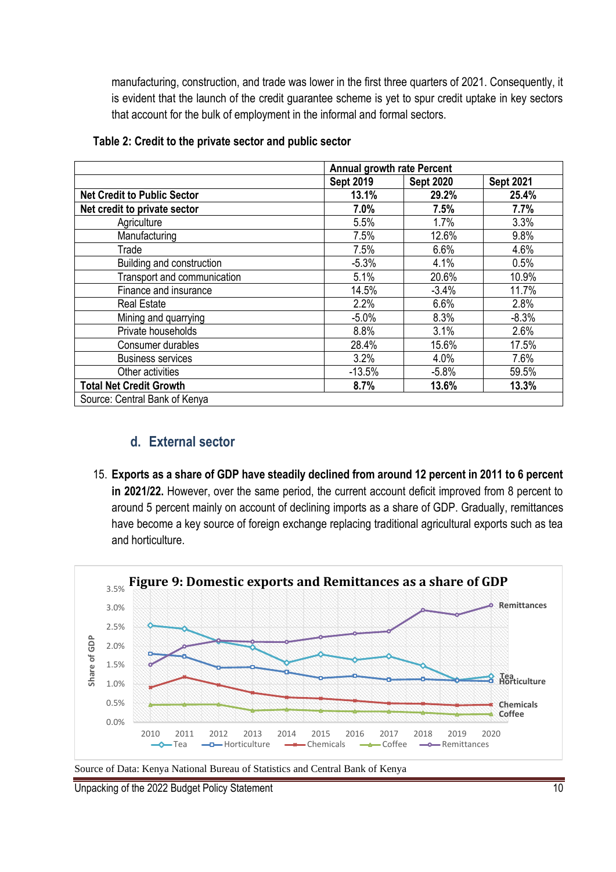manufacturing, construction, and trade was lower in the first three quarters of 2021. Consequently, it is evident that the launch of the credit guarantee scheme is yet to spur credit uptake in key sectors that account for the bulk of employment in the informal and formal sectors.

|                                    | <b>Annual growth rate Percent</b> |                  |                  |
|------------------------------------|-----------------------------------|------------------|------------------|
|                                    | <b>Sept 2019</b>                  | <b>Sept 2020</b> | <b>Sept 2021</b> |
| <b>Net Credit to Public Sector</b> | 13.1%                             | 29.2%            | 25.4%            |
| Net credit to private sector       | 7.0%                              | 7.5%             | 7.7%             |
| Agriculture                        | 5.5%                              | 1.7%             | 3.3%             |
| Manufacturing                      | 7.5%                              | 12.6%            | 9.8%             |
| Trade                              | 7.5%                              | 6.6%             | 4.6%             |
| Building and construction          | $-5.3%$                           | 4.1%             | 0.5%             |
| Transport and communication        | 5.1%                              | 20.6%            | 10.9%            |
| Finance and insurance              | 14.5%                             | $-3.4%$          | 11.7%            |
| <b>Real Estate</b>                 | 2.2%                              | 6.6%             | 2.8%             |
| Mining and quarrying               | $-5.0%$                           | 8.3%             | $-8.3%$          |
| Private households                 | 8.8%                              | 3.1%             | 2.6%             |
| Consumer durables                  | 28.4%                             | 15.6%            | 17.5%            |
| <b>Business services</b>           | 3.2%                              | 4.0%             | 7.6%             |
| Other activities                   | $-13.5%$                          | $-5.8%$          | 59.5%            |
| <b>Total Net Credit Growth</b>     | 8.7%                              | 13.6%            | 13.3%            |
| Source: Central Bank of Kenya      |                                   |                  |                  |

#### **Table 2: Credit to the private sector and public sector**

#### **d. External sector**

15. **Exports as a share of GDP have steadily declined from around 12 percent in 2011 to 6 percent in 2021/22.** However, over the same period, the current account deficit improved from 8 percent to around 5 percent mainly on account of declining imports as a share of GDP. Gradually, remittances have become a key source of foreign exchange replacing traditional agricultural exports such as tea and horticulture.



Source of Data: Kenya National Bureau of Statistics and Central Bank of Kenya

Unpacking of the 2022 Budget Policy Statement 10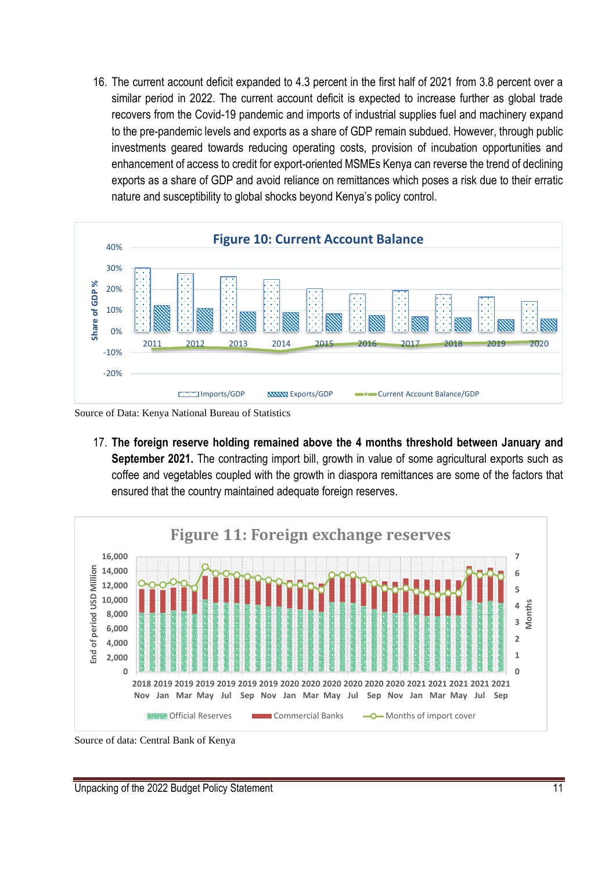16. The current account deficit expanded to 4.3 percent in the first half of 2021 from 3.8 percent over a similar period in 2022. The current account deficit is expected to increase further as global trade recovers from the Covid-19 pandemic and imports of industrial supplies fuel and machinery expand to the pre-pandemic levels and exports as a share of GDP remain subdued. However, through public investments geared towards reducing operating costs, provision of incubation opportunities and enhancement of access to credit for export-oriented MSMEs Kenya can reverse the trend of declining exports as a share of GDP and avoid reliance on remittances which poses a risk due to their erratic nature and susceptibility to global shocks beyond Kenya's policy control.



Source of Data: Kenya National Bureau of Statistics

17. **The foreign reserve holding remained above the 4 months threshold between January and September 2021.** The contracting import bill, growth in value of some agricultural exports such as coffee and vegetables coupled with the growth in diaspora remittances are some of the factors that ensured that the country maintained adequate foreign reserves.



Source of data: Central Bank of Kenya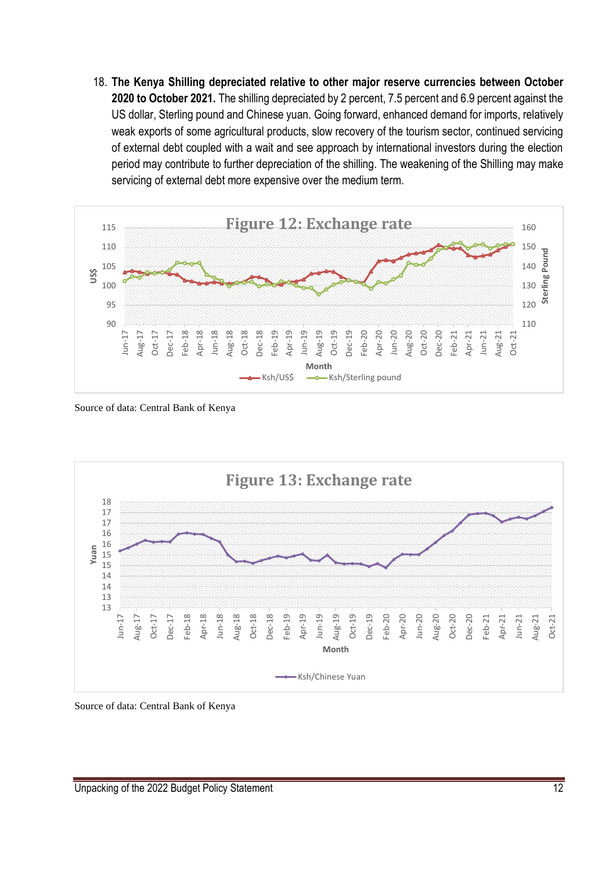18. **The Kenya Shilling depreciated relative to other major reserve currencies between October 2020 to October 2021.** The shilling depreciated by 2 percent, 7.5 percent and 6.9 percent against the US dollar, Sterling pound and Chinese yuan. Going forward, enhanced demand for imports, relatively weak exports of some agricultural products, slow recovery of the tourism sector, continued servicing of external debt coupled with a wait and see approach by international investors during the election period may contribute to further depreciation of the shilling. The weakening of the Shilling may make servicing of external debt more expensive over the medium term.



Source of data: Central Bank of Kenya



Source of data: Central Bank of Kenya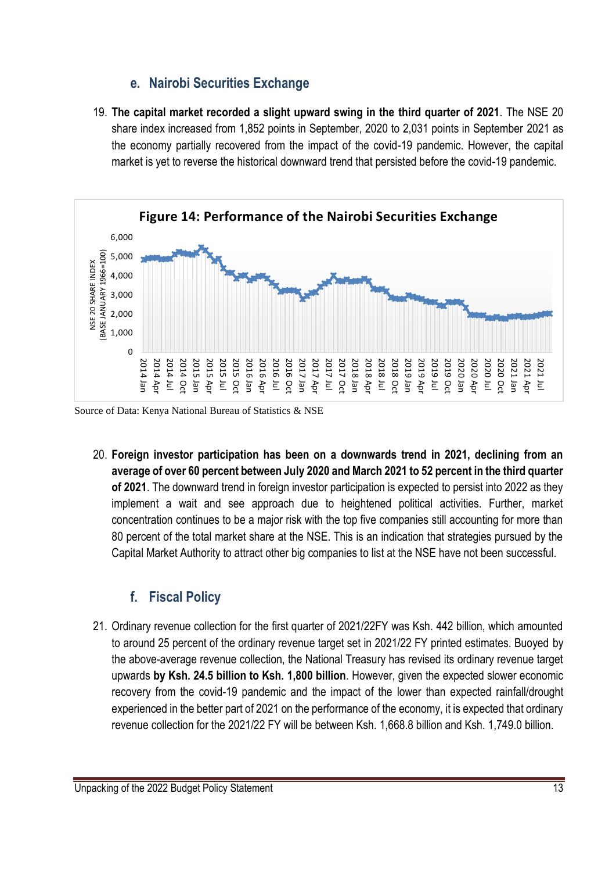#### **e. Nairobi Securities Exchange**

19. **The capital market recorded a slight upward swing in the third quarter of 2021**. The NSE 20 share index increased from 1,852 points in September, 2020 to 2,031 points in September 2021 as the economy partially recovered from the impact of the covid-19 pandemic. However, the capital market is yet to reverse the historical downward trend that persisted before the covid-19 pandemic.



Source of Data: Kenya National Bureau of Statistics & NSE

20. **Foreign investor participation has been on a downwards trend in 2021, declining from an average of over 60 percent between July 2020 and March 2021 to 52 percent in the third quarter of 2021**. The downward trend in foreign investor participation is expected to persist into 2022 as they implement a wait and see approach due to heightened political activities. Further, market concentration continues to be a major risk with the top five companies still accounting for more than 80 percent of the total market share at the NSE. This is an indication that strategies pursued by the Capital Market Authority to attract other big companies to list at the NSE have not been successful.

## **f. Fiscal Policy**

21. Ordinary revenue collection for the first quarter of 2021/22FY was Ksh. 442 billion, which amounted to around 25 percent of the ordinary revenue target set in 2021/22 FY printed estimates. Buoyed by the above-average revenue collection, the National Treasury has revised its ordinary revenue target upwards **by Ksh. 24.5 billion to Ksh. 1,800 billion**. However, given the expected slower economic recovery from the covid-19 pandemic and the impact of the lower than expected rainfall/drought experienced in the better part of 2021 on the performance of the economy, it is expected that ordinary revenue collection for the 2021/22 FY will be between Ksh. 1,668.8 billion and Ksh. 1,749.0 billion.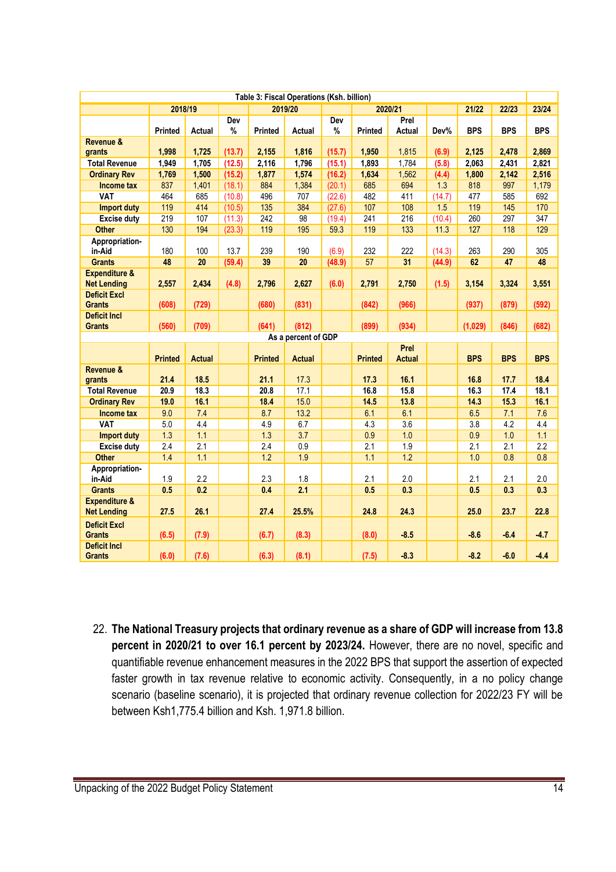| Table 3: Fiscal Operations (Ksh. billion) |                |                |                  |                |                     |                  |                |                |               |              |              |              |
|-------------------------------------------|----------------|----------------|------------------|----------------|---------------------|------------------|----------------|----------------|---------------|--------------|--------------|--------------|
|                                           | 2018/19        |                |                  | 2019/20        |                     |                  |                | 2020/21        |               | 21/22        | 22/23        | 23/24        |
|                                           |                |                | Dev              |                |                     | Dev              |                | Prel           |               |              |              |              |
|                                           | <b>Printed</b> | Actual         | %                | Printed        | Actual              | $\%$             | <b>Printed</b> | <b>Actual</b>  | Dev%          | <b>BPS</b>   | <b>BPS</b>   | <b>BPS</b>   |
| Revenue &                                 |                |                |                  |                |                     |                  |                |                |               |              |              |              |
| grants<br><b>Total Revenue</b>            | 1,998          | 1,725<br>1,705 | (13.7)           | 2,155          | 1,816               | (15.7)           | 1,950          | 1,815<br>1,784 | (6.9)         | 2,125        | 2,478        | 2,869        |
|                                           | 1,949          |                | (12.5)           | 2,116          | 1,796               | (15.1)           | 1,893          |                | (5.8)         | 2,063        | 2,431        | 2,821        |
| <b>Ordinary Rev</b>                       | 1,769<br>837   | 1,500          | (15.2)           | 1,877<br>884   | 1,574               | (16.2)           | 1,634<br>685   | 1,562<br>694   | (4.4)         | 1,800<br>818 | 2,142<br>997 | 2,516        |
| <b>Income tax</b><br><b>VAT</b>           | 464            | 1,401<br>685   | (18.1)<br>(10.8) | 496            | 1,384<br>707        | (20.1)<br>(22.6) | 482            | 411            | 1.3<br>(14.7) | 477          | 585          | 1,179<br>692 |
| <b>Import duty</b>                        | 119            | 414            | (10.5)           | 135            | 384                 | (27.6)           | 107            | 108            | 1.5           | 119          | 145          | 170          |
| <b>Excise duty</b>                        | 219            | 107            | (11.3)           | 242            | 98                  | (19.4)           | 241            | 216            | (10.4)        | 260          | 297          | 347          |
| <b>Other</b>                              | 130            | 194            | (23.3)           | 119            | 195                 | 59.3             | 119            | 133            | 11.3          | 127          | 118          | 129          |
| Appropriation-                            |                |                |                  |                |                     |                  |                |                |               |              |              |              |
| in-Aid                                    | 180            | 100            | 13.7             | 239            | 190                 | (6.9)            | 232            | 222            | (14.3)        | 263          | 290          | 305          |
| <b>Grants</b>                             | 48             | 20             | (59.4)           | 39             | 20                  | (48.9)           | 57             | 31             | (44.9)        | 62           | 47           | 48           |
| <b>Expenditure &amp;</b>                  |                |                |                  |                |                     |                  |                |                |               |              |              |              |
| <b>Net Lending</b>                        | 2,557          | 2,434          | (4.8)            | 2,796          | 2,627               | (6.0)            | 2,791          | 2,750          | (1.5)         | 3,154        | 3,324        | 3,551        |
| <b>Deficit Excl</b>                       |                |                |                  |                |                     |                  |                |                |               |              |              |              |
| <b>Grants</b>                             | (608)          | (729)          |                  | (680)          | (831)               |                  | (842)          | (966)          |               | (937)        | (879)        | (592)        |
| <b>Deficit Incl</b><br><b>Grants</b>      | (560)          | (709)          |                  | (641)          | (812)               |                  | (899)          | (934)          |               | (1,029)      | (846)        | (682)        |
|                                           |                |                |                  |                | As a percent of GDP |                  |                |                |               |              |              |              |
|                                           |                |                |                  |                |                     |                  |                | Prel           |               |              |              |              |
|                                           | <b>Printed</b> | <b>Actual</b>  |                  | <b>Printed</b> | <b>Actual</b>       |                  | <b>Printed</b> | <b>Actual</b>  |               | <b>BPS</b>   | <b>BPS</b>   | <b>BPS</b>   |
| Revenue &                                 |                |                |                  |                |                     |                  |                |                |               |              |              |              |
| grants                                    | 21.4           | 18.5           |                  | 21.1           | 17.3                |                  | 17.3           | 16.1           |               | 16.8         | 17.7         | 18.4         |
| <b>Total Revenue</b>                      | 20.9           | 18.3           |                  | 20.8           | 17.1                |                  | 16.8           | 15.8           |               | 16.3         | 17.4         | 18.1         |
| <b>Ordinary Rev</b>                       | 19.0           | 16.1           |                  | 18.4           | 15.0                |                  | 14.5           | 13.8           |               | 14.3         | 15.3         | 16.1         |
| Income tax                                | 9.0            | 7.4            |                  | 8.7            | 13.2                |                  | 6.1            | 6.1            |               | 6.5          | 7.1          | 7.6          |
| <b>VAT</b>                                | 5.0            | 4.4            |                  | 4.9            | 6.7                 |                  | 4.3            | 3.6            |               | 3.8          | 4.2          | 4.4          |
| <b>Import duty</b>                        | 1.3            | 1.1            |                  | 1.3            | 3.7                 |                  | 0.9            | 1.0            |               | 0.9          | 1.0          | 1.1          |
| <b>Excise duty</b>                        | 2.4            | 2.1            |                  | 2.4            | 0.9                 |                  | 2.1            | 1.9            |               | 2.1          | 2.1          | 2.2          |
| <b>Other</b>                              | 1.4            | 1.1            |                  | 1.2            | 1.9                 |                  | 1.1            | 1.2            |               | 1.0          | 0.8          | 0.8          |
| Appropriation-<br>in-Aid                  | 1.9            | 2.2            |                  | 2.3            | 1.8                 |                  | 2.1            | 2.0            |               | 2.1          | 2.1          | 2.0          |
| <b>Grants</b>                             | 0.5            | 0.2            |                  | 0.4            | 2.1                 |                  | 0.5            | 0.3            |               | 0.5          | 0.3          | 0.3          |
| <b>Expenditure &amp;</b>                  |                |                |                  |                |                     |                  |                |                |               |              |              |              |
| <b>Net Lending</b>                        | 27.5           | 26.1           |                  | 27.4           | 25.5%               |                  | 24.8           | 24.3           |               | 25.0         | 23.7         | 22.8         |
| <b>Deficit Excl</b><br><b>Grants</b>      | (6.5)          | (7.9)          |                  | (6.7)          | (8.3)               |                  | (8.0)          | $-8.5$         |               | $-8.6$       | $-6.4$       | $-4.7$       |
| <b>Deficit Incl</b>                       |                |                |                  |                |                     |                  |                |                |               |              |              |              |
| <b>Grants</b>                             | (6.0)          | (7.6)          |                  | (6.3)          | (8.1)               |                  | (7.5)          | $-8.3$         |               | $-8.2$       | $-6.0$       | $-4.4$       |

22. **The National Treasury projects that ordinary revenue as a share of GDP will increase from 13.8 percent in 2020/21 to over 16.1 percent by 2023/24.** However, there are no novel, specific and quantifiable revenue enhancement measures in the 2022 BPS that support the assertion of expected faster growth in tax revenue relative to economic activity. Consequently, in a no policy change scenario (baseline scenario), it is projected that ordinary revenue collection for 2022/23 FY will be between Ksh1,775.4 billion and Ksh. 1,971.8 billion.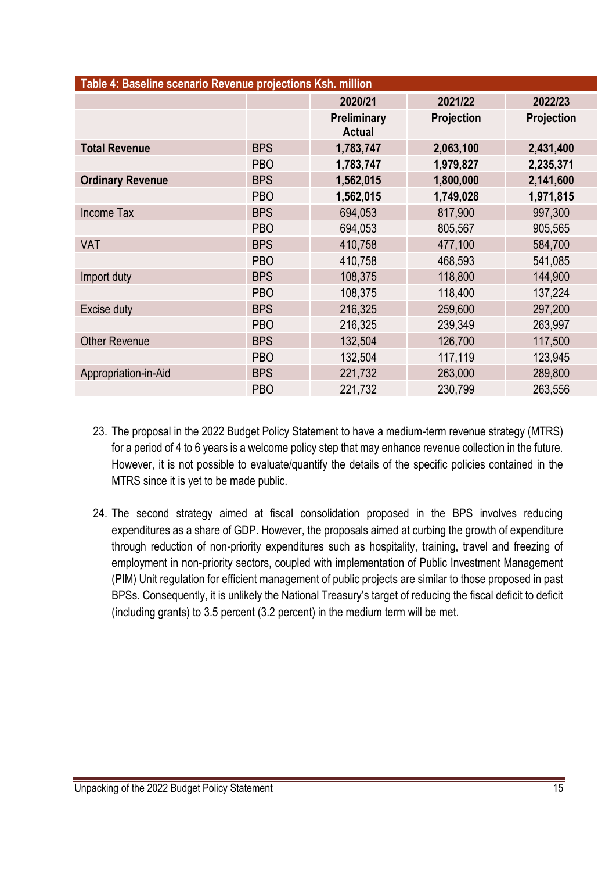| Table 4: Baseline scenario Revenue projections Ksh. million |            |                              |                   |                   |
|-------------------------------------------------------------|------------|------------------------------|-------------------|-------------------|
|                                                             |            | 2020/21                      | 2021/22           | 2022/23           |
|                                                             |            | Preliminary<br><b>Actual</b> | <b>Projection</b> | <b>Projection</b> |
| <b>Total Revenue</b>                                        | <b>BPS</b> | 1,783,747                    | 2,063,100         | 2,431,400         |
|                                                             | <b>PBO</b> | 1,783,747                    | 1,979,827         | 2,235,371         |
| <b>Ordinary Revenue</b>                                     | <b>BPS</b> | 1,562,015                    | 1,800,000         | 2,141,600         |
|                                                             | <b>PBO</b> | 1,562,015                    | 1,749,028         | 1,971,815         |
| <b>Income Tax</b>                                           | <b>BPS</b> | 694,053                      | 817,900           | 997,300           |
|                                                             | <b>PBO</b> | 694,053                      | 805,567           | 905,565           |
| <b>VAT</b>                                                  | <b>BPS</b> | 410,758                      | 477,100           | 584,700           |
|                                                             | <b>PBO</b> | 410,758                      | 468,593           | 541,085           |
| Import duty                                                 | <b>BPS</b> | 108,375                      | 118,800           | 144,900           |
|                                                             | <b>PBO</b> | 108,375                      | 118,400           | 137,224           |
| Excise duty                                                 | <b>BPS</b> | 216,325                      | 259,600           | 297,200           |
|                                                             | <b>PBO</b> | 216,325                      | 239,349           | 263,997           |
| <b>Other Revenue</b>                                        | <b>BPS</b> | 132,504                      | 126,700           | 117,500           |
|                                                             | <b>PBO</b> | 132,504                      | 117,119           | 123,945           |
| Appropriation-in-Aid                                        | <b>BPS</b> | 221,732                      | 263,000           | 289,800           |
|                                                             | <b>PBO</b> | 221,732                      | 230,799           | 263,556           |

- 23. The proposal in the 2022 Budget Policy Statement to have a medium-term revenue strategy (MTRS) for a period of 4 to 6 years is a welcome policy step that may enhance revenue collection in the future. However, it is not possible to evaluate/quantify the details of the specific policies contained in the MTRS since it is yet to be made public.
- 24. The second strategy aimed at fiscal consolidation proposed in the BPS involves reducing expenditures as a share of GDP. However, the proposals aimed at curbing the growth of expenditure through reduction of non-priority expenditures such as hospitality, training, travel and freezing of employment in non-priority sectors, coupled with implementation of Public Investment Management (PIM) Unit regulation for efficient management of public projects are similar to those proposed in past BPSs. Consequently, it is unlikely the National Treasury's target of reducing the fiscal deficit to deficit (including grants) to 3.5 percent (3.2 percent) in the medium term will be met.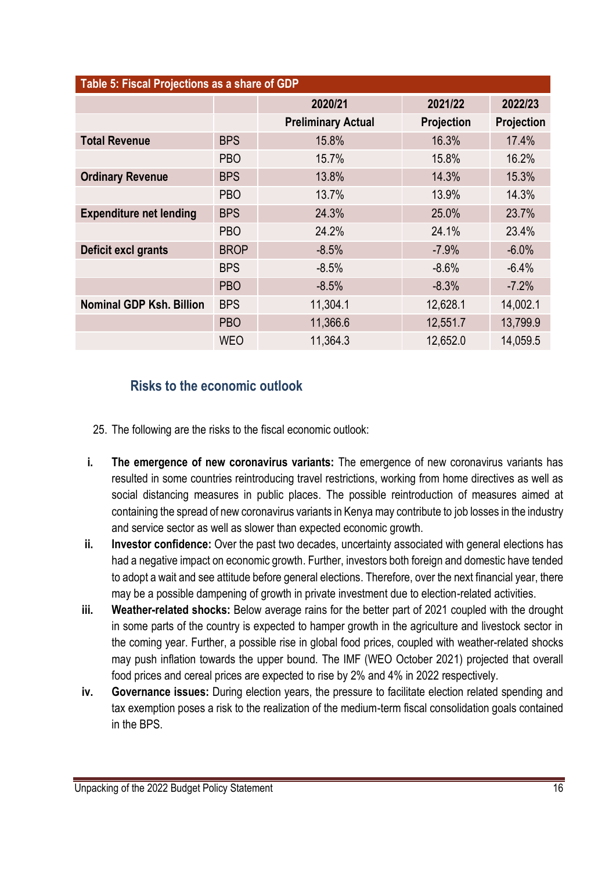| Table 5: Fiscal Projections as a share of GDP |             |                           |            |            |
|-----------------------------------------------|-------------|---------------------------|------------|------------|
|                                               |             | 2020/21                   | 2021/22    | 2022/23    |
|                                               |             | <b>Preliminary Actual</b> | Projection | Projection |
| <b>Total Revenue</b>                          | <b>BPS</b>  | 15.8%                     | 16.3%      | 17.4%      |
|                                               | <b>PBO</b>  | 15.7%                     | 15.8%      | 16.2%      |
| <b>Ordinary Revenue</b>                       | <b>BPS</b>  | 13.8%                     | 14.3%      | 15.3%      |
|                                               | <b>PBO</b>  | 13.7%                     | 13.9%      | 14.3%      |
| <b>Expenditure net lending</b>                | <b>BPS</b>  | 24.3%                     | 25.0%      | 23.7%      |
|                                               | <b>PBO</b>  | 24.2%                     | 24.1%      | 23.4%      |
| Deficit excl grants                           | <b>BROP</b> | $-8.5%$                   | $-7.9%$    | $-6.0%$    |
|                                               | <b>BPS</b>  | $-8.5%$                   | $-8.6%$    | $-6.4%$    |
|                                               | <b>PBO</b>  | $-8.5%$                   | $-8.3%$    | $-7.2%$    |
| <b>Nominal GDP Ksh. Billion</b>               | <b>BPS</b>  | 11,304.1                  | 12,628.1   | 14,002.1   |
|                                               | <b>PBO</b>  | 11,366.6                  | 12,551.7   | 13,799.9   |
|                                               | <b>WEO</b>  | 11,364.3                  | 12,652.0   | 14,059.5   |

### **Risks to the economic outlook**

- 25. The following are the risks to the fiscal economic outlook:
- **i. The emergence of new coronavirus variants:** The emergence of new coronavirus variants has resulted in some countries reintroducing travel restrictions, working from home directives as well as social distancing measures in public places. The possible reintroduction of measures aimed at containing the spread of new coronavirus variants in Kenya may contribute to job losses in the industry and service sector as well as slower than expected economic growth.
- **ii. Investor confidence:** Over the past two decades, uncertainty associated with general elections has had a negative impact on economic growth. Further, investors both foreign and domestic have tended to adopt a wait and see attitude before general elections. Therefore, over the next financial year, there may be a possible dampening of growth in private investment due to election-related activities.
- **iii. Weather-related shocks:** Below average rains for the better part of 2021 coupled with the drought in some parts of the country is expected to hamper growth in the agriculture and livestock sector in the coming year. Further, a possible rise in global food prices, coupled with weather-related shocks may push inflation towards the upper bound. The IMF (WEO October 2021) projected that overall food prices and cereal prices are expected to rise by 2% and 4% in 2022 respectively.
- **iv. Governance issues:** During election years, the pressure to facilitate election related spending and tax exemption poses a risk to the realization of the medium-term fiscal consolidation goals contained in the BPS.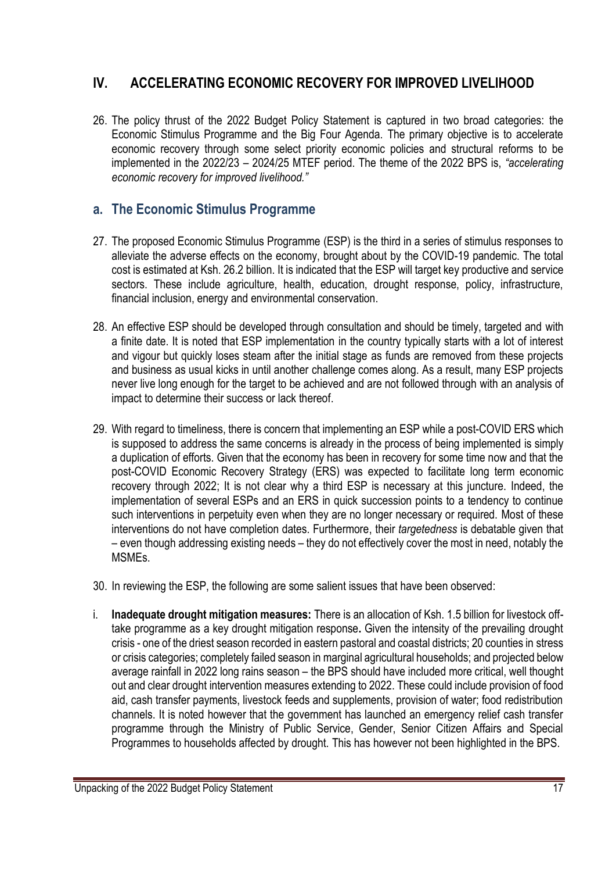# **IV. ACCELERATING ECONOMIC RECOVERY FOR IMPROVED LIVELIHOOD**

26. The policy thrust of the 2022 Budget Policy Statement is captured in two broad categories: the Economic Stimulus Programme and the Big Four Agenda. The primary objective is to accelerate economic recovery through some select priority economic policies and structural reforms to be implemented in the 2022/23 – 2024/25 MTEF period. The theme of the 2022 BPS is, *"accelerating economic recovery for improved livelihood."*

### **a. The Economic Stimulus Programme**

- 27. The proposed Economic Stimulus Programme (ESP) is the third in a series of stimulus responses to alleviate the adverse effects on the economy, brought about by the COVID-19 pandemic. The total cost is estimated at Ksh. 26.2 billion. It is indicated that the ESP will target key productive and service sectors. These include agriculture, health, education, drought response, policy, infrastructure, financial inclusion, energy and environmental conservation.
- 28. An effective ESP should be developed through consultation and should be timely, targeted and with a finite date. It is noted that ESP implementation in the country typically starts with a lot of interest and vigour but quickly loses steam after the initial stage as funds are removed from these projects and business as usual kicks in until another challenge comes along. As a result, many ESP projects never live long enough for the target to be achieved and are not followed through with an analysis of impact to determine their success or lack thereof.
- 29. With regard to timeliness, there is concern that implementing an ESP while a post-COVID ERS which is supposed to address the same concerns is already in the process of being implemented is simply a duplication of efforts. Given that the economy has been in recovery for some time now and that the post-COVID Economic Recovery Strategy (ERS) was expected to facilitate long term economic recovery through 2022; It is not clear why a third ESP is necessary at this juncture. Indeed, the implementation of several ESPs and an ERS in quick succession points to a tendency to continue such interventions in perpetuity even when they are no longer necessary or required. Most of these interventions do not have completion dates. Furthermore, their *targetedness* is debatable given that – even though addressing existing needs – they do not effectively cover the most in need, notably the MSMEs.
- 30. In reviewing the ESP, the following are some salient issues that have been observed:
- i. **Inadequate drought mitigation measures:** There is an allocation of Ksh. 1.5 billion for livestock offtake programme as a key drought mitigation response**.** Given the intensity of the prevailing drought crisis - one of the driest season recorded in eastern pastoral and coastal districts; 20 counties in stress or crisis categories; completely failed season in marginal agricultural households; and projected below average rainfall in 2022 long rains season – the BPS should have included more critical, well thought out and clear drought intervention measures extending to 2022. These could include provision of food aid, cash transfer payments, livestock feeds and supplements, provision of water; food redistribution channels. It is noted however that the government has launched an emergency relief cash transfer programme through the Ministry of Public Service, Gender, Senior Citizen Affairs and Special Programmes to households affected by drought. This has however not been highlighted in the BPS.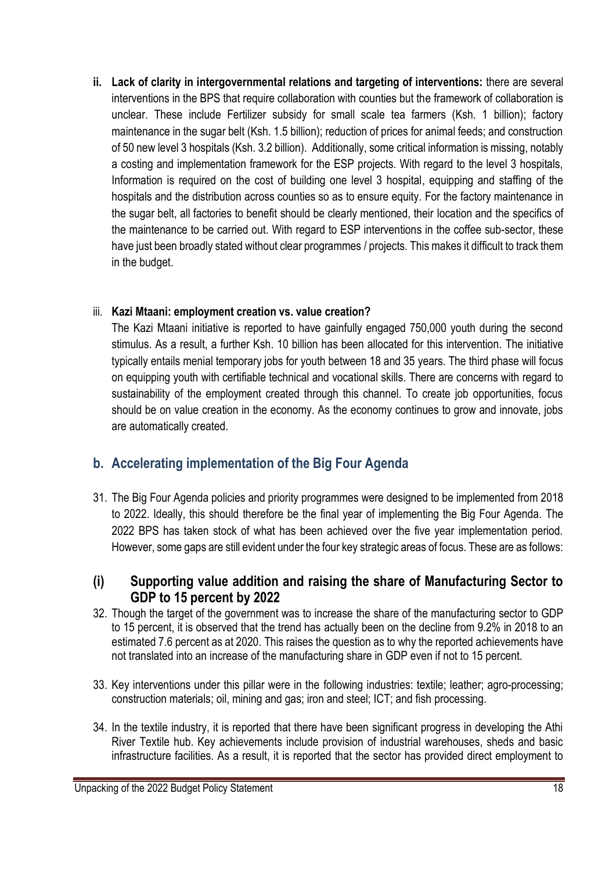**ii. Lack of clarity in intergovernmental relations and targeting of interventions:** there are several interventions in the BPS that require collaboration with counties but the framework of collaboration is unclear. These include Fertilizer subsidy for small scale tea farmers (Ksh. 1 billion); factory maintenance in the sugar belt (Ksh. 1.5 billion); reduction of prices for animal feeds; and construction of 50 new level 3 hospitals (Ksh. 3.2 billion). Additionally, some critical information is missing, notably a costing and implementation framework for the ESP projects. With regard to the level 3 hospitals, Information is required on the cost of building one level 3 hospital, equipping and staffing of the hospitals and the distribution across counties so as to ensure equity. For the factory maintenance in the sugar belt, all factories to benefit should be clearly mentioned, their location and the specifics of the maintenance to be carried out. With regard to ESP interventions in the coffee sub-sector, these have just been broadly stated without clear programmes / projects. This makes it difficult to track them in the budget.

#### iii. **Kazi Mtaani: employment creation vs. value creation?**

The Kazi Mtaani initiative is reported to have gainfully engaged 750,000 youth during the second stimulus. As a result, a further Ksh. 10 billion has been allocated for this intervention. The initiative typically entails menial temporary jobs for youth between 18 and 35 years. The third phase will focus on equipping youth with certifiable technical and vocational skills. There are concerns with regard to sustainability of the employment created through this channel. To create job opportunities, focus should be on value creation in the economy. As the economy continues to grow and innovate, jobs are automatically created.

## **b. Accelerating implementation of the Big Four Agenda**

31. The Big Four Agenda policies and priority programmes were designed to be implemented from 2018 to 2022. Ideally, this should therefore be the final year of implementing the Big Four Agenda. The 2022 BPS has taken stock of what has been achieved over the five year implementation period. However, some gaps are still evident under the four key strategic areas of focus. These are as follows:

#### **(i) Supporting value addition and raising the share of Manufacturing Sector to GDP to 15 percent by 2022**

- 32. Though the target of the government was to increase the share of the manufacturing sector to GDP to 15 percent, it is observed that the trend has actually been on the decline from 9.2% in 2018 to an estimated 7.6 percent as at 2020. This raises the question as to why the reported achievements have not translated into an increase of the manufacturing share in GDP even if not to 15 percent.
- 33. Key interventions under this pillar were in the following industries: textile; leather; agro-processing; construction materials; oil, mining and gas; iron and steel; ICT; and fish processing.
- 34. In the textile industry, it is reported that there have been significant progress in developing the Athi River Textile hub. Key achievements include provision of industrial warehouses, sheds and basic infrastructure facilities. As a result, it is reported that the sector has provided direct employment to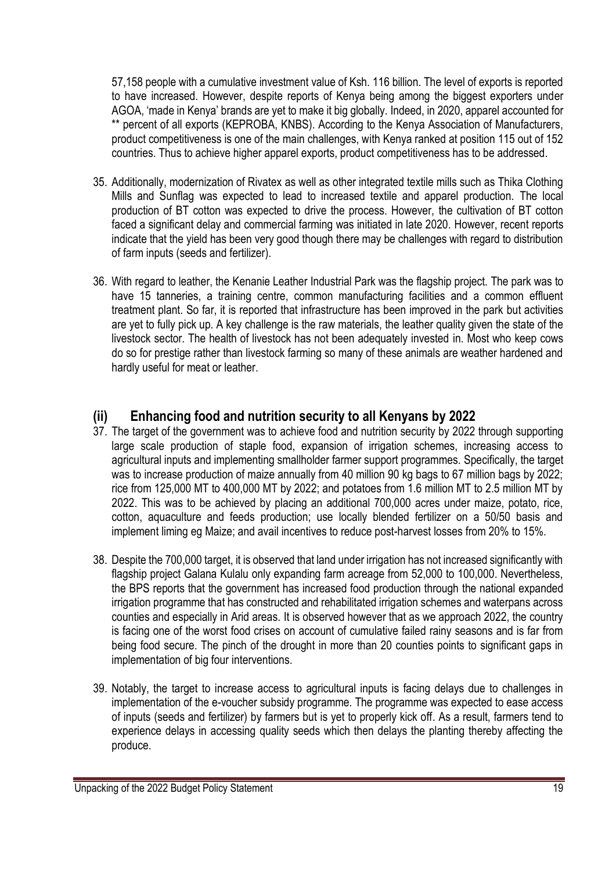57,158 people with a cumulative investment value of Ksh. 116 billion. The level of exports is reported to have increased. However, despite reports of Kenya being among the biggest exporters under AGOA, 'made in Kenya' brands are yet to make it big globally. Indeed, in 2020, apparel accounted for \*\* percent of all exports (KEPROBA, KNBS). According to the Kenya Association of Manufacturers, product competitiveness is one of the main challenges, with Kenya ranked at position 115 out of 152 countries. Thus to achieve higher apparel exports, product competitiveness has to be addressed.

- 35. Additionally, modernization of Rivatex as well as other integrated textile mills such as Thika Clothing Mills and Sunflag was expected to lead to increased textile and apparel production. The local production of BT cotton was expected to drive the process. However, the cultivation of BT cotton faced a significant delay and commercial farming was initiated in late 2020. However, recent reports indicate that the yield has been very good though there may be challenges with regard to distribution of farm inputs (seeds and fertilizer).
- 36. With regard to leather, the Kenanie Leather Industrial Park was the flagship project. The park was to have 15 tanneries, a training centre, common manufacturing facilities and a common effluent treatment plant. So far, it is reported that infrastructure has been improved in the park but activities are yet to fully pick up. A key challenge is the raw materials, the leather quality given the state of the livestock sector. The health of livestock has not been adequately invested in. Most who keep cows do so for prestige rather than livestock farming so many of these animals are weather hardened and hardly useful for meat or leather.

#### **(ii) Enhancing food and nutrition security to all Kenyans by 2022**

- 37. The target of the government was to achieve food and nutrition security by 2022 through supporting large scale production of staple food, expansion of irrigation schemes, increasing access to agricultural inputs and implementing smallholder farmer support programmes. Specifically, the target was to increase production of maize annually from 40 million 90 kg bags to 67 million bags by 2022; rice from 125,000 MT to 400,000 MT by 2022; and potatoes from 1.6 million MT to 2.5 million MT by 2022. This was to be achieved by placing an additional 700,000 acres under maize, potato, rice, cotton, aquaculture and feeds production; use locally blended fertilizer on a 50/50 basis and implement liming eg Maize; and avail incentives to reduce post-harvest losses from 20% to 15%.
- 38. Despite the 700,000 target, it is observed that land under irrigation has not increased significantly with flagship project Galana Kulalu only expanding farm acreage from 52,000 to 100,000. Nevertheless, the BPS reports that the government has increased food production through the national expanded irrigation programme that has constructed and rehabilitated irrigation schemes and waterpans across counties and especially in Arid areas. It is observed however that as we approach 2022, the country is facing one of the worst food crises on account of cumulative failed rainy seasons and is far from being food secure. The pinch of the drought in more than 20 counties points to significant gaps in implementation of big four interventions.
- 39. Notably, the target to increase access to agricultural inputs is facing delays due to challenges in implementation of the e-voucher subsidy programme. The programme was expected to ease access of inputs (seeds and fertilizer) by farmers but is yet to properly kick off. As a result, farmers tend to experience delays in accessing quality seeds which then delays the planting thereby affecting the produce.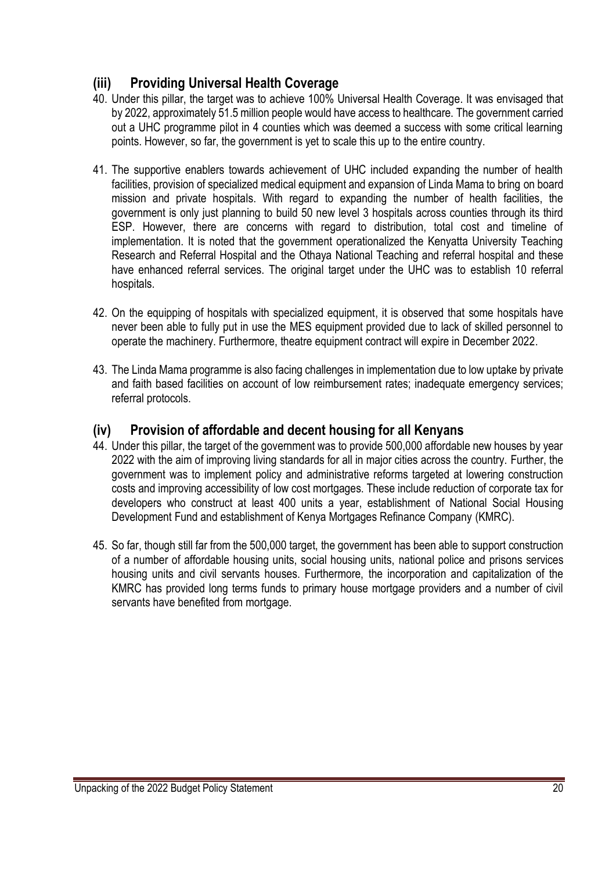### **(iii) Providing Universal Health Coverage**

- 40. Under this pillar, the target was to achieve 100% Universal Health Coverage. It was envisaged that by 2022, approximately 51.5 million people would have access to healthcare. The government carried out a UHC programme pilot in 4 counties which was deemed a success with some critical learning points. However, so far, the government is yet to scale this up to the entire country.
- 41. The supportive enablers towards achievement of UHC included expanding the number of health facilities, provision of specialized medical equipment and expansion of Linda Mama to bring on board mission and private hospitals. With regard to expanding the number of health facilities, the government is only just planning to build 50 new level 3 hospitals across counties through its third ESP. However, there are concerns with regard to distribution, total cost and timeline of implementation. It is noted that the government operationalized the Kenyatta University Teaching Research and Referral Hospital and the Othaya National Teaching and referral hospital and these have enhanced referral services. The original target under the UHC was to establish 10 referral hospitals.
- 42. On the equipping of hospitals with specialized equipment, it is observed that some hospitals have never been able to fully put in use the MES equipment provided due to lack of skilled personnel to operate the machinery. Furthermore, theatre equipment contract will expire in December 2022.
- 43. The Linda Mama programme is also facing challenges in implementation due to low uptake by private and faith based facilities on account of low reimbursement rates; inadequate emergency services; referral protocols.

#### **(iv) Provision of affordable and decent housing for all Kenyans**

- 44. Under this pillar, the target of the government was to provide 500,000 affordable new houses by year 2022 with the aim of improving living standards for all in major cities across the country. Further, the government was to implement policy and administrative reforms targeted at lowering construction costs and improving accessibility of low cost mortgages. These include reduction of corporate tax for developers who construct at least 400 units a year, establishment of National Social Housing Development Fund and establishment of Kenya Mortgages Refinance Company (KMRC).
- 45. So far, though still far from the 500,000 target, the government has been able to support construction of a number of affordable housing units, social housing units, national police and prisons services housing units and civil servants houses. Furthermore, the incorporation and capitalization of the KMRC has provided long terms funds to primary house mortgage providers and a number of civil servants have benefited from mortgage.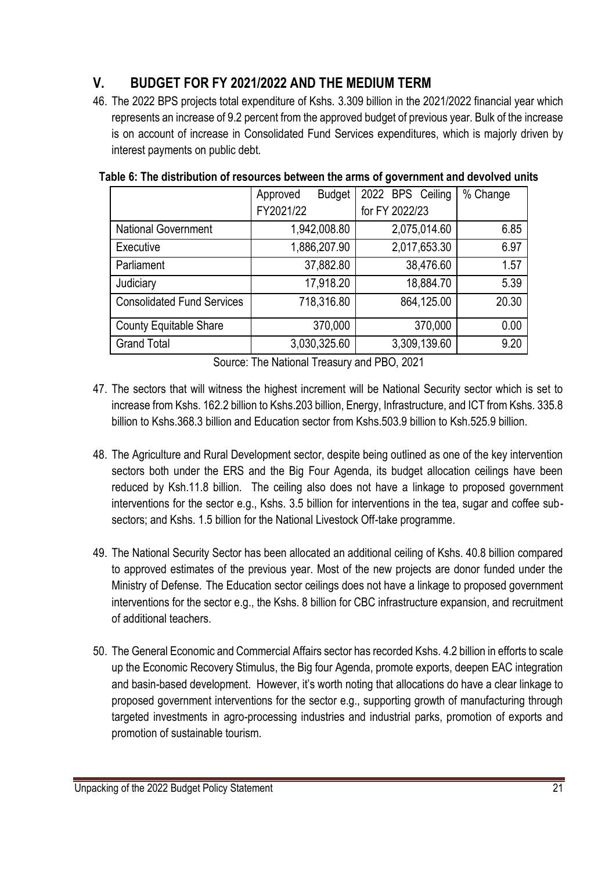# **V. BUDGET FOR FY 2021/2022 AND THE MEDIUM TERM**

46. The 2022 BPS projects total expenditure of Kshs. 3.309 billion in the 2021/2022 financial year which represents an increase of 9.2 percent from the approved budget of previous year. Bulk of the increase is on account of increase in Consolidated Fund Services expenditures, which is majorly driven by interest payments on public debt.

|                                   | <b>Budget</b><br>Approved | 2022 BPS Ceiling | % Change |
|-----------------------------------|---------------------------|------------------|----------|
|                                   | FY2021/22                 | for FY 2022/23   |          |
| <b>National Government</b>        | 1,942,008.80              | 2,075,014.60     | 6.85     |
| Executive                         | 1,886,207.90              | 2,017,653.30     | 6.97     |
| Parliament                        | 37,882.80                 | 38,476.60        | 1.57     |
| Judiciary                         | 17,918.20                 | 18,884.70        | 5.39     |
| <b>Consolidated Fund Services</b> | 718,316.80                | 864,125.00       | 20.30    |
| <b>County Equitable Share</b>     | 370,000                   | 370,000          | 0.00     |
| <b>Grand Total</b>                | 3,030,325.60              | 3,309,139.60     | 9.20     |

#### **Table 6: The distribution of resources between the arms of government and devolved units**

Source: The National Treasury and PBO, 2021

- 47. The sectors that will witness the highest increment will be National Security sector which is set to increase from Kshs. 162.2 billion to Kshs.203 billion, Energy, Infrastructure, and ICT from Kshs. 335.8 billion to Kshs.368.3 billion and Education sector from Kshs.503.9 billion to Ksh.525.9 billion.
- 48. The Agriculture and Rural Development sector, despite being outlined as one of the key intervention sectors both under the ERS and the Big Four Agenda, its budget allocation ceilings have been reduced by Ksh.11.8 billion. The ceiling also does not have a linkage to proposed government interventions for the sector e.g., Kshs. 3.5 billion for interventions in the tea, sugar and coffee subsectors; and Kshs. 1.5 billion for the National Livestock Off-take programme.
- 49. The National Security Sector has been allocated an additional ceiling of Kshs. 40.8 billion compared to approved estimates of the previous year. Most of the new projects are donor funded under the Ministry of Defense. The Education sector ceilings does not have a linkage to proposed government interventions for the sector e.g., the Kshs. 8 billion for CBC infrastructure expansion, and recruitment of additional teachers.
- 50. The General Economic and Commercial Affairs sector has recorded Kshs. 4.2 billion in efforts to scale up the Economic Recovery Stimulus, the Big four Agenda, promote exports, deepen EAC integration and basin-based development. However, it's worth noting that allocations do have a clear linkage to proposed government interventions for the sector e.g., supporting growth of manufacturing through targeted investments in agro-processing industries and industrial parks, promotion of exports and promotion of sustainable tourism.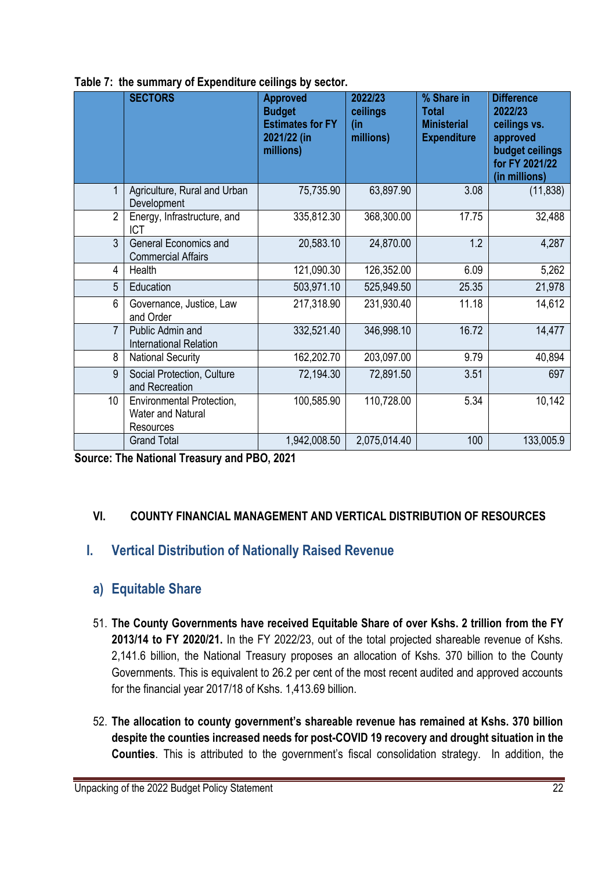|                | <b>SECTORS</b>                                                     | <b>Approved</b><br><b>Budget</b><br><b>Estimates for FY</b><br>2021/22 (in<br>millions) | 2022/23<br>ceilings<br>(in<br>millions) | % Share in<br><b>Total</b><br><b>Ministerial</b><br><b>Expenditure</b> | <b>Difference</b><br>2022/23<br>ceilings vs.<br>approved<br>budget ceilings<br>for FY 2021/22<br>(in millions) |
|----------------|--------------------------------------------------------------------|-----------------------------------------------------------------------------------------|-----------------------------------------|------------------------------------------------------------------------|----------------------------------------------------------------------------------------------------------------|
| 1              | Agriculture, Rural and Urban<br>Development                        | 75,735.90                                                                               | 63,897.90                               | 3.08                                                                   | (11, 838)                                                                                                      |
| $\overline{2}$ | Energy, Infrastructure, and<br><b>ICT</b>                          | 335,812.30                                                                              | 368,300.00                              | 17.75                                                                  | 32,488                                                                                                         |
| $\overline{3}$ | <b>General Economics and</b><br><b>Commercial Affairs</b>          | 20,583.10                                                                               | 24,870.00                               | 1.2                                                                    | 4,287                                                                                                          |
| 4              | Health                                                             | 121,090.30                                                                              | 126,352.00                              | 6.09                                                                   | 5,262                                                                                                          |
| 5              | Education                                                          | 503,971.10                                                                              | 525,949.50                              | 25.35                                                                  | 21,978                                                                                                         |
| 6              | Governance, Justice, Law<br>and Order                              | 217,318.90                                                                              | 231,930.40                              | 11.18                                                                  | 14,612                                                                                                         |
| $\overline{7}$ | Public Admin and<br><b>International Relation</b>                  | 332,521.40                                                                              | 346,998.10                              | 16.72                                                                  | 14,477                                                                                                         |
| 8              | <b>National Security</b>                                           | 162,202.70                                                                              | 203,097.00                              | 9.79                                                                   | 40,894                                                                                                         |
| 9              | Social Protection, Culture<br>and Recreation                       | 72,194.30                                                                               | 72,891.50                               | 3.51                                                                   | 697                                                                                                            |
| 10             | Environmental Protection,<br><b>Water and Natural</b><br>Resources | 100,585.90                                                                              | 110,728.00                              | 5.34                                                                   | 10,142                                                                                                         |
|                | <b>Grand Total</b>                                                 | 1,942,008.50                                                                            | 2,075,014.40                            | 100                                                                    | 133,005.9                                                                                                      |

**Table 7: the summary of Expenditure ceilings by sector.** 

**Source: The National Treasury and PBO, 2021**

#### **VI. COUNTY FINANCIAL MANAGEMENT AND VERTICAL DISTRIBUTION OF RESOURCES**

## **I. Vertical Distribution of Nationally Raised Revenue**

#### **a) Equitable Share**

- 51. **The County Governments have received Equitable Share of over Kshs. 2 trillion from the FY 2013/14 to FY 2020/21.** In the FY 2022/23, out of the total projected shareable revenue of Kshs. 2,141.6 billion, the National Treasury proposes an allocation of Kshs. 370 billion to the County Governments. This is equivalent to 26.2 per cent of the most recent audited and approved accounts for the financial year 2017/18 of Kshs. 1,413.69 billion.
- 52. **The allocation to county government's shareable revenue has remained at Kshs. 370 billion despite the counties increased needs for post-COVID 19 recovery and drought situation in the Counties**. This is attributed to the government's fiscal consolidation strategy. In addition, the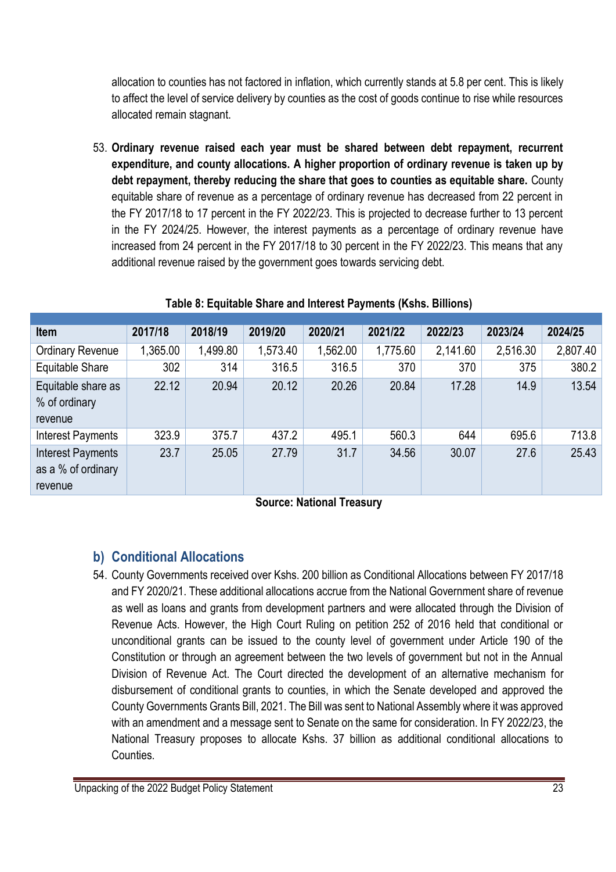allocation to counties has not factored in inflation, which currently stands at 5.8 per cent. This is likely to affect the level of service delivery by counties as the cost of goods continue to rise while resources allocated remain stagnant.

53. **Ordinary revenue raised each year must be shared between debt repayment, recurrent expenditure, and county allocations. A higher proportion of ordinary revenue is taken up by debt repayment, thereby reducing the share that goes to counties as equitable share.** County equitable share of revenue as a percentage of ordinary revenue has decreased from 22 percent in the FY 2017/18 to 17 percent in the FY 2022/23. This is projected to decrease further to 13 percent in the FY 2024/25. However, the interest payments as a percentage of ordinary revenue have increased from 24 percent in the FY 2017/18 to 30 percent in the FY 2022/23. This means that any additional revenue raised by the government goes towards servicing debt.

| <b>Item</b>                                        | 2017/18  | 2018/19  | 2019/20  | 2020/21  | 2021/22  | 2022/23  | 2023/24  | 2024/25  |
|----------------------------------------------------|----------|----------|----------|----------|----------|----------|----------|----------|
| <b>Ordinary Revenue</b>                            | 1,365.00 | 1,499.80 | 1,573.40 | 1,562.00 | 1,775.60 | 2,141.60 | 2,516.30 | 2,807.40 |
| Equitable Share                                    | 302      | 314      | 316.5    | 316.5    | 370      | 370      | 375      | 380.2    |
| Equitable share as<br>% of ordinary<br>revenue     | 22.12    | 20.94    | 20.12    | 20.26    | 20.84    | 17.28    | 14.9     | 13.54    |
| Interest Payments                                  | 323.9    | 375.7    | 437.2    | 495.1    | 560.3    | 644      | 695.6    | 713.8    |
| Interest Payments<br>as a % of ordinary<br>revenue | 23.7     | 25.05    | 27.79    | 31.7     | 34.56    | 30.07    | 27.6     | 25.43    |

#### **Table 8: Equitable Share and Interest Payments (Kshs. Billions)**

**Source: National Treasury**

## **b) Conditional Allocations**

54. County Governments received over Kshs. 200 billion as Conditional Allocations between FY 2017/18 and FY 2020/21. These additional allocations accrue from the National Government share of revenue as well as loans and grants from development partners and were allocated through the Division of Revenue Acts. However, the High Court Ruling on petition 252 of 2016 held that conditional or unconditional grants can be issued to the county level of government under Article 190 of the Constitution or through an agreement between the two levels of government but not in the Annual Division of Revenue Act. The Court directed the development of an alternative mechanism for disbursement of conditional grants to counties, in which the Senate developed and approved the County Governments Grants Bill, 2021. The Bill was sent to National Assembly where it was approved with an amendment and a message sent to Senate on the same for consideration. In FY 2022/23, the National Treasury proposes to allocate Kshs. 37 billion as additional conditional allocations to Counties.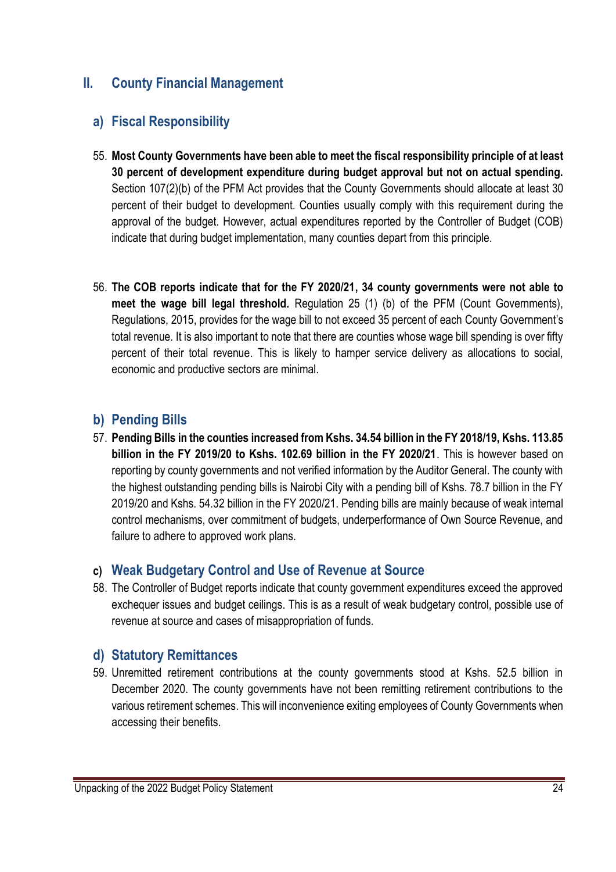#### **II. County Financial Management**

### **a) Fiscal Responsibility**

- 55. **Most County Governments have been able to meet the fiscal responsibility principle of at least 30 percent of development expenditure during budget approval but not on actual spending.** Section 107(2)(b) of the PFM Act provides that the County Governments should allocate at least 30 percent of their budget to development. Counties usually comply with this requirement during the approval of the budget. However, actual expenditures reported by the Controller of Budget (COB) indicate that during budget implementation, many counties depart from this principle.
- 56. **The COB reports indicate that for the FY 2020/21, 34 county governments were not able to meet the wage bill legal threshold.** Regulation 25 (1) (b) of the PFM (Count Governments), Regulations, 2015, provides for the wage bill to not exceed 35 percent of each County Government's total revenue. It is also important to note that there are counties whose wage bill spending is over fifty percent of their total revenue. This is likely to hamper service delivery as allocations to social, economic and productive sectors are minimal.

### **b) Pending Bills**

57. **Pending Bills in the counties increased from Kshs. 34.54 billion in the FY 2018/19, Kshs. 113.85 billion in the FY 2019/20 to Kshs. 102.69 billion in the FY 2020/21**. This is however based on reporting by county governments and not verified information by the Auditor General. The county with the highest outstanding pending bills is Nairobi City with a pending bill of Kshs. 78.7 billion in the FY 2019/20 and Kshs. 54.32 billion in the FY 2020/21. Pending bills are mainly because of weak internal control mechanisms, over commitment of budgets, underperformance of Own Source Revenue, and failure to adhere to approved work plans.

#### **c) Weak Budgetary Control and Use of Revenue at Source**

58. The Controller of Budget reports indicate that county government expenditures exceed the approved exchequer issues and budget ceilings. This is as a result of weak budgetary control, possible use of revenue at source and cases of misappropriation of funds.

#### **d) Statutory Remittances**

59. Unremitted retirement contributions at the county governments stood at Kshs. 52.5 billion in December 2020. The county governments have not been remitting retirement contributions to the various retirement schemes. This will inconvenience exiting employees of County Governments when accessing their benefits.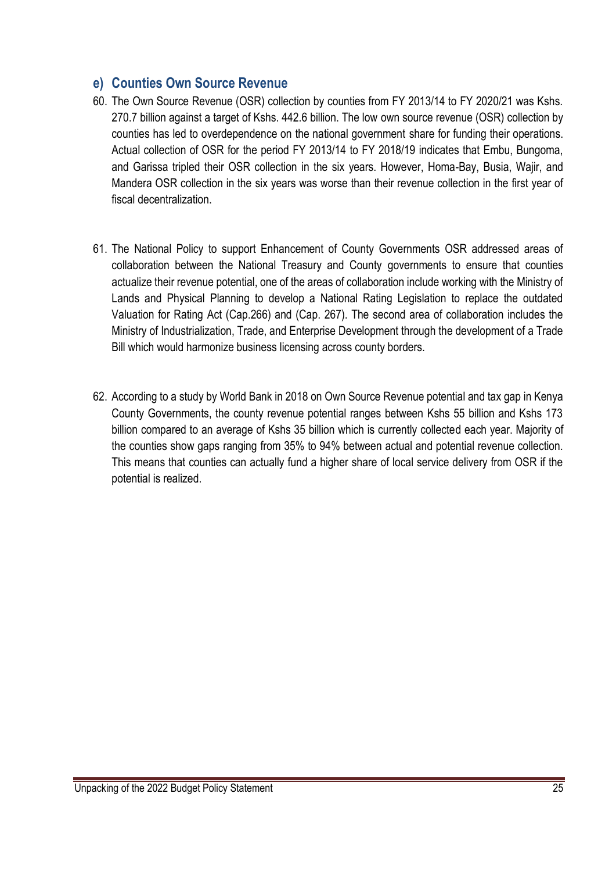#### **e) Counties Own Source Revenue**

- 60. The Own Source Revenue (OSR) collection by counties from FY 2013/14 to FY 2020/21 was Kshs. 270.7 billion against a target of Kshs. 442.6 billion. The low own source revenue (OSR) collection by counties has led to overdependence on the national government share for funding their operations. Actual collection of OSR for the period FY 2013/14 to FY 2018/19 indicates that Embu, Bungoma, and Garissa tripled their OSR collection in the six years. However, Homa-Bay, Busia, Wajir, and Mandera OSR collection in the six years was worse than their revenue collection in the first year of fiscal decentralization.
- 61. The National Policy to support Enhancement of County Governments OSR addressed areas of collaboration between the National Treasury and County governments to ensure that counties actualize their revenue potential, one of the areas of collaboration include working with the Ministry of Lands and Physical Planning to develop a National Rating Legislation to replace the outdated Valuation for Rating Act (Cap.266) and (Cap. 267). The second area of collaboration includes the Ministry of Industrialization, Trade, and Enterprise Development through the development of a Trade Bill which would harmonize business licensing across county borders.
- 62. According to a study by World Bank in 2018 on Own Source Revenue potential and tax gap in Kenya County Governments, the county revenue potential ranges between Kshs 55 billion and Kshs 173 billion compared to an average of Kshs 35 billion which is currently collected each year. Majority of the counties show gaps ranging from 35% to 94% between actual and potential revenue collection. This means that counties can actually fund a higher share of local service delivery from OSR if the potential is realized.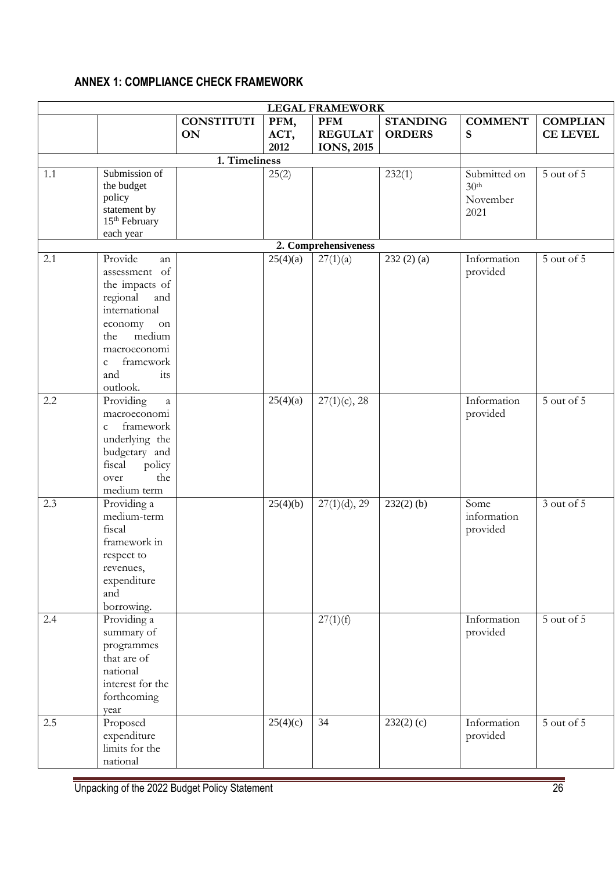#### **ANNEX 1: COMPLIANCE CHECK FRAMEWORK**

| <b>LEGAL FRAMEWORK</b> |                                                                                                                                                                                                       |                                |                      |                                                    |                                  |                                                      |                                    |  |  |  |  |
|------------------------|-------------------------------------------------------------------------------------------------------------------------------------------------------------------------------------------------------|--------------------------------|----------------------|----------------------------------------------------|----------------------------------|------------------------------------------------------|------------------------------------|--|--|--|--|
|                        |                                                                                                                                                                                                       | <b>CONSTITUTI</b><br><b>ON</b> | PFM,<br>ACT,<br>2012 | <b>PFM</b><br><b>REGULAT</b><br><b>IONS</b> , 2015 | <b>STANDING</b><br><b>ORDERS</b> | <b>COMMENT</b><br>S                                  | <b>COMPLIAN</b><br><b>CE LEVEL</b> |  |  |  |  |
|                        |                                                                                                                                                                                                       | 1. Timeliness                  |                      |                                                    |                                  |                                                      |                                    |  |  |  |  |
| 1.1                    | Submission of<br>the budget<br>policy<br>statement by<br>15 <sup>th</sup> February<br>each year                                                                                                       |                                | 25(2)                |                                                    | 232(1)                           | Submitted on<br>30 <sup>th</sup><br>November<br>2021 | 5 out of 5                         |  |  |  |  |
|                        |                                                                                                                                                                                                       |                                |                      | 2. Comprehensiveness                               |                                  |                                                      |                                    |  |  |  |  |
| 2.1                    | Provide<br>an<br>assessment of<br>the impacts of<br>regional<br>and<br>international<br>economy<br>${\rm on}$<br>medium<br>the<br>macroeconomi<br>framework<br>$\mathbf{C}$<br>and<br>its<br>outlook. |                                | 25(4)(a)             | 27(1)(a)                                           | 232(2)(a)                        | Information<br>provided                              | 5 out of 5                         |  |  |  |  |
| 2.2                    | Providing<br>$\it a$<br>macroeconomi<br>framework<br>$\mathbf{C}$<br>underlying the<br>budgetary and<br>fiscal<br>policy<br>the<br>over<br>medium term                                                |                                | 25(4)(a)             | $27(1)(c)$ , 28                                    |                                  | Information<br>provided                              | 5 out of 5                         |  |  |  |  |
| 2.3                    | Providing a<br>medium-term<br>fiscal<br>framework in<br>respect to<br>revenues,<br>expenditure<br>and<br>borrowing.                                                                                   |                                | 25(4)(b)             | $27(1)(d)$ , 29                                    | $232(2)$ (b)                     | Some<br>information<br>provided                      | 3 out of 5                         |  |  |  |  |
| 2.4                    | Providing a<br>summary of<br>programmes<br>that are of<br>national<br>interest for the<br>forthcoming<br>year                                                                                         |                                |                      | 27(1)(f)                                           |                                  | Information<br>provided                              | 5 out of 5                         |  |  |  |  |
| 2.5                    | Proposed<br>expenditure<br>limits for the<br>national                                                                                                                                                 |                                | 25(4)(c)             | 34                                                 | $232(2)$ (c)                     | Information<br>provided                              | 5 out of 5                         |  |  |  |  |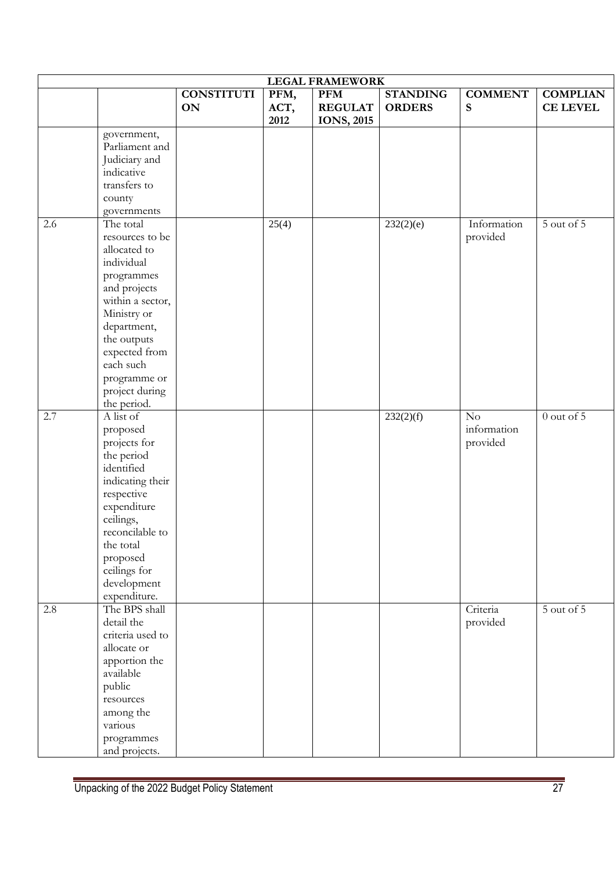| <b>LEGAL FRAMEWORK</b> |                                  |                                |              |                              |                                  |                               |                                    |  |  |  |  |
|------------------------|----------------------------------|--------------------------------|--------------|------------------------------|----------------------------------|-------------------------------|------------------------------------|--|--|--|--|
|                        |                                  | <b>CONSTITUTI</b><br><b>ON</b> | PFM,<br>ACT, | <b>PFM</b><br><b>REGULAT</b> | <b>STANDING</b><br><b>ORDERS</b> | <b>COMMENT</b><br>$\mathbf S$ | <b>COMPLIAN</b><br><b>CE LEVEL</b> |  |  |  |  |
|                        |                                  |                                | 2012         | <b>IONS</b> , 2015           |                                  |                               |                                    |  |  |  |  |
|                        | government,                      |                                |              |                              |                                  |                               |                                    |  |  |  |  |
|                        | Parliament and                   |                                |              |                              |                                  |                               |                                    |  |  |  |  |
|                        | Judiciary and                    |                                |              |                              |                                  |                               |                                    |  |  |  |  |
|                        | indicative                       |                                |              |                              |                                  |                               |                                    |  |  |  |  |
|                        | transfers to                     |                                |              |                              |                                  |                               |                                    |  |  |  |  |
|                        | county                           |                                |              |                              |                                  |                               |                                    |  |  |  |  |
|                        | governments                      |                                |              |                              |                                  |                               |                                    |  |  |  |  |
| 2.6                    | The total                        |                                | 25(4)        |                              | 232(2)(e)                        | Information                   | 5 out of 5                         |  |  |  |  |
|                        | resources to be<br>allocated to  |                                |              |                              |                                  | provided                      |                                    |  |  |  |  |
|                        | individual                       |                                |              |                              |                                  |                               |                                    |  |  |  |  |
|                        |                                  |                                |              |                              |                                  |                               |                                    |  |  |  |  |
|                        | programmes                       |                                |              |                              |                                  |                               |                                    |  |  |  |  |
|                        | and projects<br>within a sector, |                                |              |                              |                                  |                               |                                    |  |  |  |  |
|                        | Ministry or                      |                                |              |                              |                                  |                               |                                    |  |  |  |  |
|                        | department,                      |                                |              |                              |                                  |                               |                                    |  |  |  |  |
|                        | the outputs                      |                                |              |                              |                                  |                               |                                    |  |  |  |  |
|                        | expected from                    |                                |              |                              |                                  |                               |                                    |  |  |  |  |
|                        | each such                        |                                |              |                              |                                  |                               |                                    |  |  |  |  |
|                        | programme or                     |                                |              |                              |                                  |                               |                                    |  |  |  |  |
|                        | project during                   |                                |              |                              |                                  |                               |                                    |  |  |  |  |
|                        | the period.                      |                                |              |                              |                                  |                               |                                    |  |  |  |  |
| 2.7                    | A list of                        |                                |              |                              | 232(2)(f)                        | No                            | $0$ out of $5$                     |  |  |  |  |
|                        | proposed                         |                                |              |                              |                                  | information                   |                                    |  |  |  |  |
|                        | projects for                     |                                |              |                              |                                  | provided                      |                                    |  |  |  |  |
|                        | the period                       |                                |              |                              |                                  |                               |                                    |  |  |  |  |
|                        | identified                       |                                |              |                              |                                  |                               |                                    |  |  |  |  |
|                        | indicating their                 |                                |              |                              |                                  |                               |                                    |  |  |  |  |
|                        | respective                       |                                |              |                              |                                  |                               |                                    |  |  |  |  |
|                        | expenditure                      |                                |              |                              |                                  |                               |                                    |  |  |  |  |
|                        | ceilings,                        |                                |              |                              |                                  |                               |                                    |  |  |  |  |
|                        | reconcilable to                  |                                |              |                              |                                  |                               |                                    |  |  |  |  |
|                        | the total                        |                                |              |                              |                                  |                               |                                    |  |  |  |  |
|                        | proposed                         |                                |              |                              |                                  |                               |                                    |  |  |  |  |
|                        | ceilings for                     |                                |              |                              |                                  |                               |                                    |  |  |  |  |
|                        | development                      |                                |              |                              |                                  |                               |                                    |  |  |  |  |
|                        | expenditure.                     |                                |              |                              |                                  |                               |                                    |  |  |  |  |
| $2.8\,$                | The BPS shall                    |                                |              |                              |                                  | Criteria                      | $5$ out of $5$                     |  |  |  |  |
|                        | detail the                       |                                |              |                              |                                  | provided                      |                                    |  |  |  |  |
|                        | criteria used to                 |                                |              |                              |                                  |                               |                                    |  |  |  |  |
|                        | allocate or                      |                                |              |                              |                                  |                               |                                    |  |  |  |  |
|                        | apportion the                    |                                |              |                              |                                  |                               |                                    |  |  |  |  |
|                        | available                        |                                |              |                              |                                  |                               |                                    |  |  |  |  |
|                        | public                           |                                |              |                              |                                  |                               |                                    |  |  |  |  |
|                        | resources                        |                                |              |                              |                                  |                               |                                    |  |  |  |  |
|                        | among the<br>various             |                                |              |                              |                                  |                               |                                    |  |  |  |  |
|                        | programmes                       |                                |              |                              |                                  |                               |                                    |  |  |  |  |
|                        | and projects.                    |                                |              |                              |                                  |                               |                                    |  |  |  |  |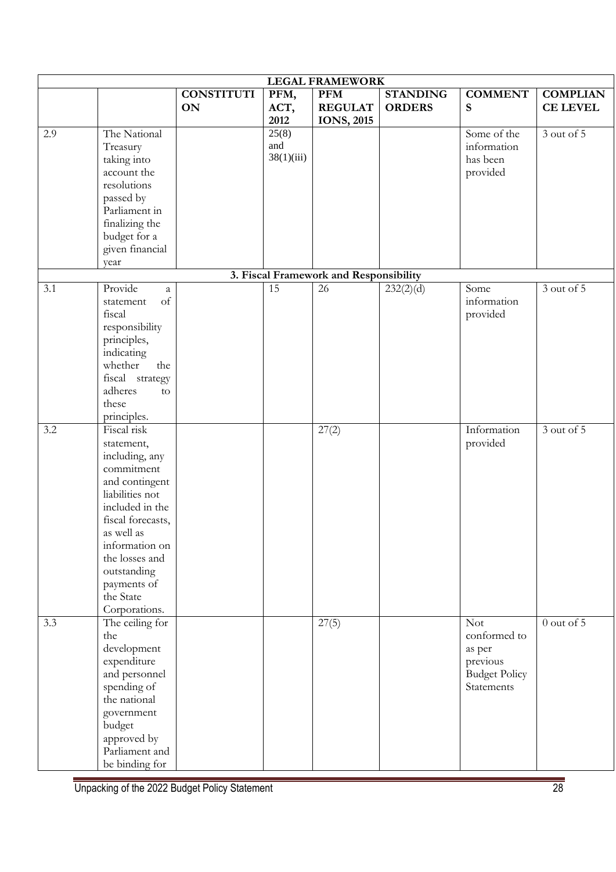| <b>LEGAL FRAMEWORK</b> |                                                                                                                                                                                                                                                      |                                |                            |                                                   |                                  |                                                                                        |                                    |  |  |  |
|------------------------|------------------------------------------------------------------------------------------------------------------------------------------------------------------------------------------------------------------------------------------------------|--------------------------------|----------------------------|---------------------------------------------------|----------------------------------|----------------------------------------------------------------------------------------|------------------------------------|--|--|--|
|                        |                                                                                                                                                                                                                                                      | <b>CONSTITUTI</b><br><b>ON</b> | PFM,<br>ACT,<br>2012       | <b>PFM</b><br><b>REGULAT</b><br><b>IONS, 2015</b> | <b>STANDING</b><br><b>ORDERS</b> | <b>COMMENT</b><br>S                                                                    | <b>COMPLIAN</b><br><b>CE LEVEL</b> |  |  |  |
| 2.9                    | The National<br>Treasury<br>taking into<br>account the<br>resolutions<br>passed by<br>Parliament in<br>finalizing the<br>budget for a<br>given financial<br>year                                                                                     |                                | 25(8)<br>and<br>38(1)(iii) |                                                   |                                  | Some of the<br>information<br>has been<br>provided                                     | 3 out of 5                         |  |  |  |
|                        |                                                                                                                                                                                                                                                      |                                |                            | 3. Fiscal Framework and Responsibility            |                                  |                                                                                        |                                    |  |  |  |
| 3.1                    | Provide<br>a<br>of<br>statement<br>fiscal<br>responsibility<br>principles,<br>indicating<br>whether<br>the<br>fiscal strategy<br>adheres<br>to<br>these<br>principles.                                                                               |                                | 15                         | 26                                                | 232(2)(d)                        | Some<br>information<br>provided                                                        | 3 out of 5                         |  |  |  |
| 3.2                    | Fiscal risk<br>statement,<br>including, any<br>commitment<br>and contingent<br>liabilities not<br>included in the<br>fiscal forecasts,<br>as well as<br>information on<br>the losses and<br>outstanding<br>payments of<br>the State<br>Corporations. |                                |                            | 27(2)                                             |                                  | Information<br>provided                                                                | 3 out of 5                         |  |  |  |
| 3.3                    | The ceiling for<br>the<br>development<br>expenditure<br>and personnel<br>spending of<br>the national<br>government<br>budget<br>approved by<br>Parliament and<br>be binding for                                                                      |                                |                            | 27(5)                                             |                                  | <b>Not</b><br>conformed to<br>as per<br>previous<br><b>Budget Policy</b><br>Statements | $0$ out of $5$                     |  |  |  |

Unpacking of the 2022 Budget Policy Statement 28 28